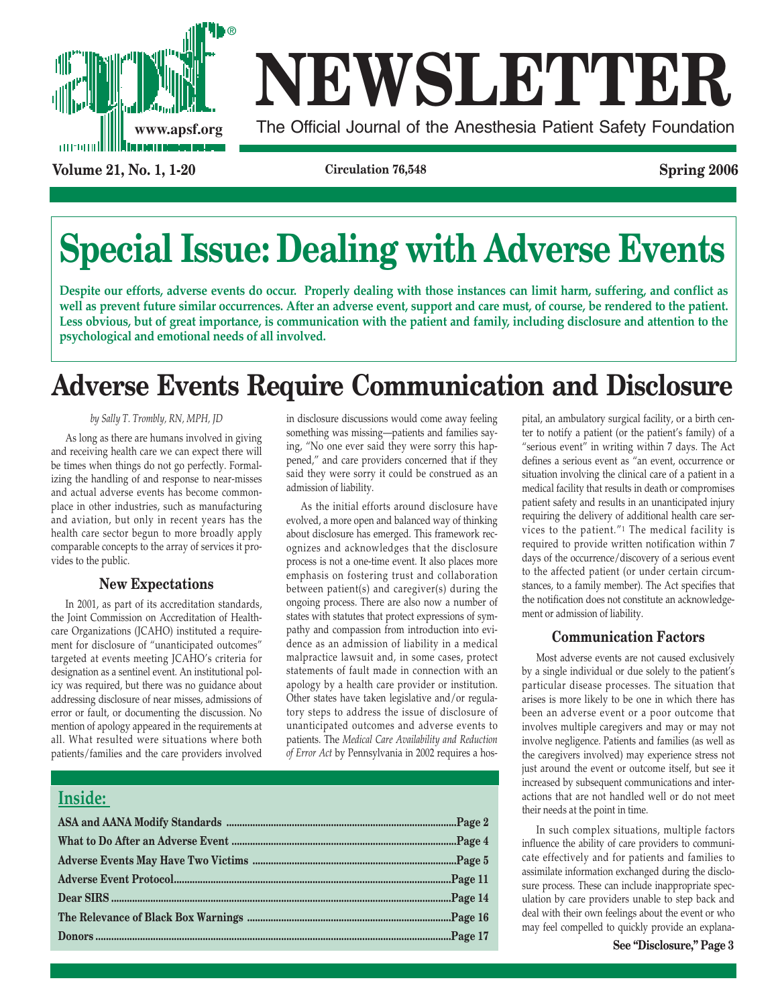

# **NEWSLETTER**

**www.apsf.org** The Official Journal of the Anesthesia Patient Safety Foundation

**Volume 21, No. 1, 1-20 Circulation 76,548 Spring 2006**

## **Special Issue: Dealing with Adverse Events**

**Despite our efforts, adverse events do occur. Properly dealing with those instances can limit harm, suffering, and conflict as well as prevent future similar occurrences. After an adverse event, support and care must, of course, be rendered to the patient. Less obvious, but of great importance, is communication with the patient and family, including disclosure and attention to the psychological and emotional needs of all involved.**

### **Adverse Events Require Communication and Disclosure**

#### *by Sally T. Trombly, RN, MPH, JD*

As long as there are humans involved in giving and receiving health care we can expect there will be times when things do not go perfectly. Formalizing the handling of and response to near-misses and actual adverse events has become commonplace in other industries, such as manufacturing and aviation, but only in recent years has the health care sector begun to more broadly apply comparable concepts to the array of services it provides to the public.

#### **New Expectations**

In 2001, as part of its accreditation standards, the Joint Commission on Accreditation of Healthcare Organizations (JCAHO) instituted a requirement for disclosure of "unanticipated outcomes" targeted at events meeting JCAHO's criteria for designation as a sentinel event. An institutional policy was required, but there was no guidance about addressing disclosure of near misses, admissions of error or fault, or documenting the discussion. No mention of apology appeared in the requirements at all. What resulted were situations where both patients/families and the care providers involved

**Inside:** 

in disclosure discussions would come away feeling something was missing—patients and families saying, "No one ever said they were sorry this happened," and care providers concerned that if they said they were sorry it could be construed as an admission of liability.

As the initial efforts around disclosure have evolved, a more open and balanced way of thinking about disclosure has emerged. This framework recognizes and acknowledges that the disclosure process is not a one-time event. It also places more emphasis on fostering trust and collaboration between patient(s) and caregiver(s) during the ongoing process. There are also now a number of states with statutes that protect expressions of sympathy and compassion from introduction into evidence as an admission of liability in a medical malpractice lawsuit and, in some cases, protect statements of fault made in connection with an apology by a health care provider or institution. Other states have taken legislative and/or regulatory steps to address the issue of disclosure of unanticipated outcomes and adverse events to patients. The *Medical Care Availability and Reduction of Error Act* by Pennsylvania in 2002 requires a hospital, an ambulatory surgical facility, or a birth center to notify a patient (or the patient's family) of a "serious event" in writing within 7 days. The Act defines a serious event as "an event, occurrence or situation involving the clinical care of a patient in a medical facility that results in death or compromises patient safety and results in an unanticipated injury requiring the delivery of additional health care services to the patient."1 The medical facility is required to provide written notification within 7 days of the occurrence/discovery of a serious event to the affected patient (or under certain circumstances, to a family member). The Act specifies that the notification does not constitute an acknowledgement or admission of liability.

#### **Communication Factors**

Most adverse events are not caused exclusively by a single individual or due solely to the patient's particular disease processes. The situation that arises is more likely to be one in which there has been an adverse event or a poor outcome that involves multiple caregivers and may or may not involve negligence. Patients and families (as well as the caregivers involved) may experience stress not just around the event or outcome itself, but see it increased by subsequent communications and interactions that are not handled well or do not meet their needs at the point in time.

In such complex situations, multiple factors influence the ability of care providers to communicate effectively and for patients and families to assimilate information exchanged during the disclosure process. These can include inappropriate speculation by care providers unable to step back and deal with their own feelings about the event or who may feel compelled to quickly provide an explana-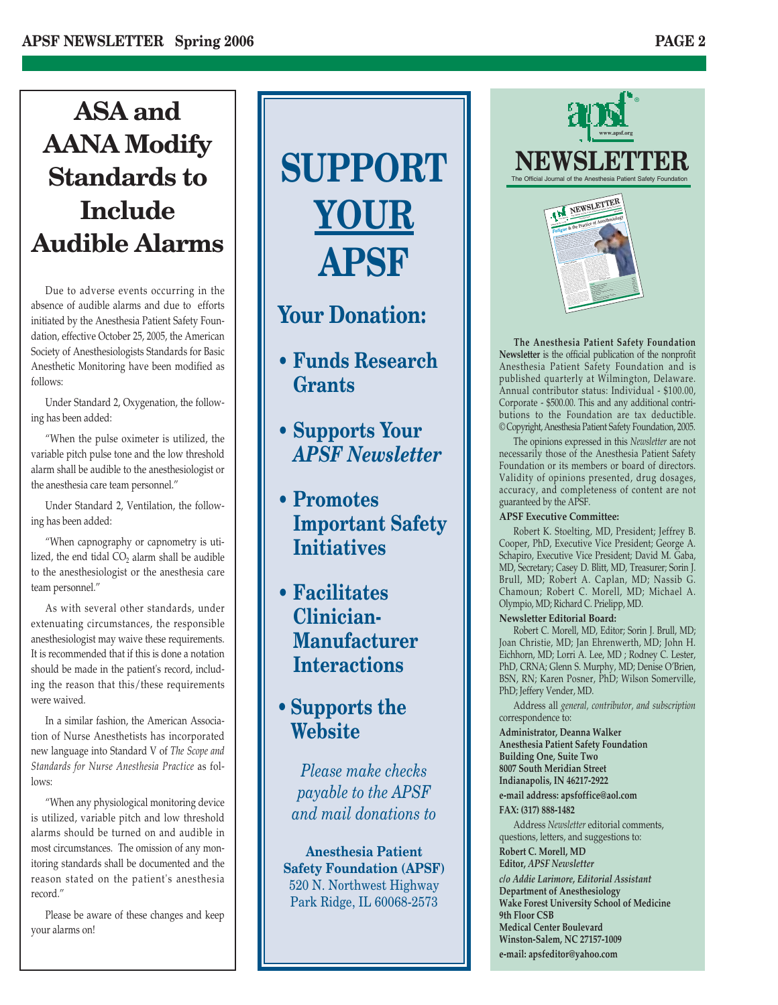### **ASA and AANA Modify Standards to Include Audible Alarms**

Due to adverse events occurring in the absence of audible alarms and due to efforts initiated by the Anesthesia Patient Safety Foundation, effective October 25, 2005, the American Society of Anesthesiologists Standards for Basic Anesthetic Monitoring have been modified as follows:

Under Standard 2, Oxygenation, the following has been added:

"When the pulse oximeter is utilized, the variable pitch pulse tone and the low threshold alarm shall be audible to the anesthesiologist or the anesthesia care team personnel."

Under Standard 2, Ventilation, the following has been added:

"When capnography or capnometry is utilized, the end tidal  $CO<sub>2</sub>$  alarm shall be audible to the anesthesiologist or the anesthesia care team personnel."

As with several other standards, under extenuating circumstances, the responsible anesthesiologist may waive these requirements. It is recommended that if this is done a notation should be made in the patient's record, including the reason that this/these requirements were waived.

In a similar fashion, the American Association of Nurse Anesthetists has incorporated new language into Standard V of *The Scope and Standards for Nurse Anesthesia Practice* as follows:

"When any physiological monitoring device is utilized, variable pitch and low threshold alarms should be turned on and audible in most circumstances. The omission of any monitoring standards shall be documented and the reason stated on the patient's anesthesia record."

Please be aware of these changes and keep your alarms on!

# **SUPPORT YOUR APSF**

### **Your Donation:**

- **Funds Research Grants**
- **Supports Your** *APSF Newsletter*
- **Promotes Important Safety Initiatives**
- **Facilitates Clinician-Manufacturer Interactions**
- **Supports the Website**

*Please make checks payable to the APSF and mail donations to*

**Anesthesia Patient Safety Foundation (APSF)** 520 N. Northwest Highway Park Ridge, IL 60068-2573



**The Anesthesia Patient Safety Foundation Newsletter** is the official publication of the nonprofit Anesthesia Patient Safety Foundation and is published quarterly at Wilmington, Delaware. Annual contributor status: Individual - \$100.00, Corporate - \$500.00. This and any additional contributions to the Foundation are tax deductible. © Copyright, Anesthesia Patient Safety Foundation, 2005.

**Cure for the Dopey Doc?..................................................................................................Page 9 Managing Fatigue............................................................................................................Page 10 Britain & Ireland's Approach to Fatigue ..................................................................Page 13 Costs of Fatigue ..............................................................................................................Page 15 Donors ................................................................................................................................Page 17 Report on Long-Term Outcome Workshop................................................................Page 18 Contract Contract Contract Contract Contract Contract Contract Contract Contract Contract Contract Contract C** 

people are killed or injured each year in crashes attributed to drivers who fell asleep atthe wheel or were impaired by severe drowsiness. These examples and many others reveal that fatigue isa problem that extends beyond health care and is deeply embedded within our society. Studies have shown <sup>a</sup> correlation between the performance effects of sleep deprivation and wakefulness, psychomotor function was equivalent to <sup>a</sup> blood alcohol concentration of 0.1%. This is at or above the legal limit for driving in most states. Think of the professional and personal liability of coming to work intoxicated!

The opinions expressed in this *Newsletter* are not necessarily those of the Anesthesia Patient Safety Foundation or its members or board of directors. Validity of opinions presented, drug dosages, accuracy, and completeness of content are not guaranteed by the APSF.

#### **APSF Executive Committee:**

Robert K. Stoelting, MD, President; Jeffrey B. Cooper, PhD, Executive Vice President; George A. Schapiro, Executive Vice President; David M. Gaba, MD, Secretary; Casey D. Blitt, MD, Treasurer; Sorin J. Brull, MD; Robert A. Caplan, MD; Nassib G. Chamoun; Robert C. Morell, MD; Michael A. Olympio, MD; Richard C. Prielipp, MD.

#### **Newsletter Editorial Board:**

Robert C. Morell, MD, Editor; Sorin J. Brull, MD; Joan Christie, MD; Jan Ehrenwerth, MD; John H. Eichhorn, MD; Lorri A. Lee, MD ; Rodney C. Lester, PhD, CRNA; Glenn S. Murphy, MD; Denise O'Brien, BSN, RN; Karen Posner, PhD; Wilson Somerville, PhD; Jeffery Vender, MD.

Address all *general, contributor, and subscription* correspondence to:

**Administrator, Deanna Walker Anesthesia Patient Safety Foundation Building One, Suite Two 8007 South Meridian Street Indianapolis, IN 46217-2922**

**e-mail address: apsfoffice@aol.com FAX: (317) 888-1482**

Address *Newsletter* editorial comments, questions, letters, and suggestions to:

**Robert C. Morell, MD Editor,** *APSF Newsletter c/o Addie Larimore, Editorial Assistant* **Department of Anesthesiology Wake Forest University School of Medicine 9th Floor CSB Medical Center Boulevard Winston-Salem, NC 27157-1009 e-mail: apsfeditor@yahoo.com**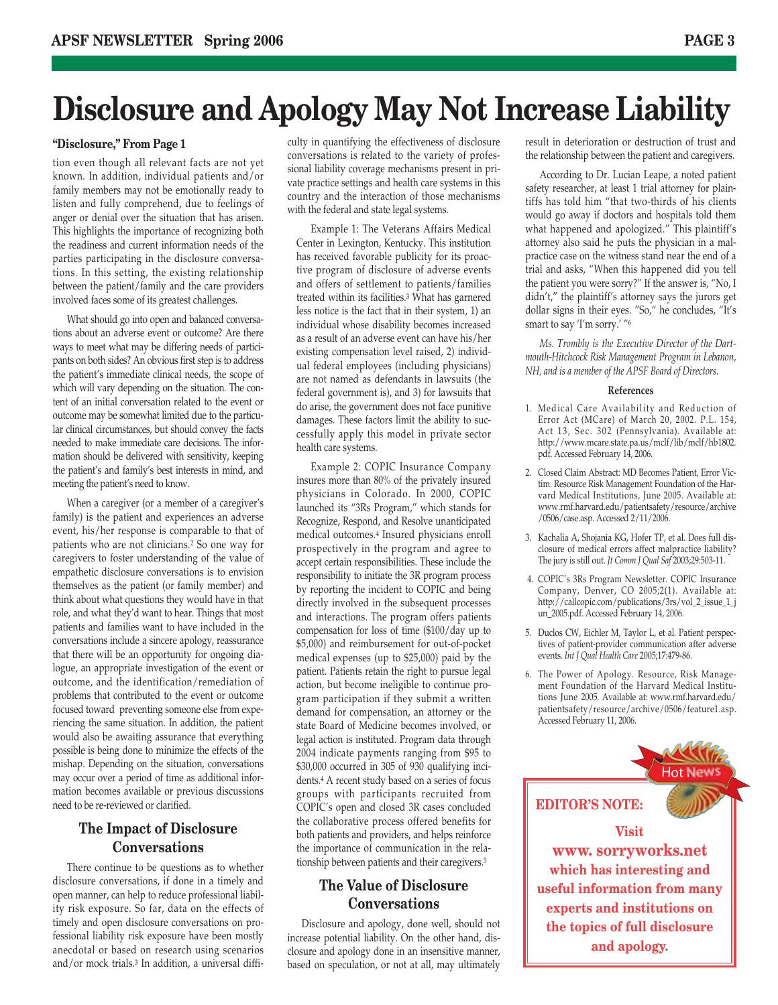### **Disclosure and Apology May Not Increase Liability**

#### **"Disclosure," From Page 1**

tion even though all relevant facts are not yet known. In addition, individual patients and/or family members may not be emotionally ready to listen and fully comprehend, due to feelings of anger or denial over the situation that has arisen. This highlights the importance of recognizing both the readiness and current information needs of the parties participating in the disclosure conversations. In this setting, the existing relationship between the patient/family and the care providers involved faces some of its greatest challenges.

What should go into open and balanced conversations about an adverse event or outcome? Are there ways to meet what may be differing needs of participants on both sides? An obvious first step is to address the patient's immediate clinical needs, the scope of which will vary depending on the situation. The content of an initial conversation related to the event or outcome may be somewhat limited due to the particular clinical circumstances, but should convey the facts needed to make immediate care decisions. The information should be delivered with sensitivity, keeping the patient's and family's best interests in mind, and meeting the patient's need to know.

When a caregiver (or a member of a caregiver's family) is the patient and experiences an adverse event, his/her response is comparable to that of patients who are not clinicians.2 So one way for caregivers to foster understanding of the value of empathetic disclosure conversations is to envision themselves as the patient (or family member) and think about what questions they would have in that role, and what they'd want to hear. Things that most patients and families want to have included in the conversations include a sincere apology, reassurance that there will be an opportunity for ongoing dialogue, an appropriate investigation of the event or outcome, and the identification/remediation of problems that contributed to the event or outcome focused toward preventing someone else from experiencing the same situation. In addition, the patient would also be awaiting assurance that everything possible is being done to minimize the effects of the mishap. Depending on the situation, conversations may occur over a period of time as additional information becomes available or previous discussions need to be re-reviewed or clarified.

#### **The Impact of Disclosure Conversations**

There continue to be questions as to whether disclosure conversations, if done in a timely and open manner, can help to reduce professional liability risk exposure. So far, data on the effects of timely and open disclosure conversations on professional liability risk exposure have been mostly anecdotal or based on research using scenarios and/or mock trials.3 In addition, a universal difficulty in quantifying the effectiveness of disclosure conversations is related to the variety of professional liability coverage mechanisms present in private practice settings and health care systems in this country and the interaction of those mechanisms with the federal and state legal systems.

Example 1: The Veterans Affairs Medical Center in Lexington, Kentucky. This institution has received favorable publicity for its proactive program of disclosure of adverse events and offers of settlement to patients/families treated within its facilities.3 What has garnered less notice is the fact that in their system, 1) an individual whose disability becomes increased as a result of an adverse event can have his/her existing compensation level raised, 2) individual federal employees (including physicians) are not named as defendants in lawsuits (the federal government is), and 3) for lawsuits that do arise, the government does not face punitive damages. These factors limit the ability to successfully apply this model in private sector health care systems.

Example 2: COPIC Insurance Company insures more than 80% of the privately insured physicians in Colorado. In 2000, COPIC launched its "3Rs Program," which stands for Recognize, Respond, and Resolve unanticipated medical outcomes.4 Insured physicians enroll prospectively in the program and agree to accept certain responsibilities. These include the responsibility to initiate the 3R program process by reporting the incident to COPIC and being directly involved in the subsequent processes and interactions. The program offers patients compensation for loss of time (\$100/day up to \$5,000) and reimbursement for out-of-pocket medical expenses (up to \$25,000) paid by the patient. Patients retain the right to pursue legal action, but become ineligible to continue program participation if they submit a written demand for compensation, an attorney or the state Board of Medicine becomes involved, or legal action is instituted. Program data through 2004 indicate payments ranging from \$95 to \$30,000 occurred in 305 of 930 qualifying incidents.4 A recent study based on a series of focus groups with participants recruited from COPIC's open and closed 3R cases concluded the collaborative process offered benefits for both patients and providers, and helps reinforce the importance of communication in the relationship between patients and their caregivers.5

#### **The Value of Disclosure Conversations**

Disclosure and apology, done well, should not increase potential liability. On the other hand, disclosure and apology done in an insensitive manner, based on speculation, or not at all, may ultimately result in deterioration or destruction of trust and the relationship between the patient and caregivers.

According to Dr. Lucian Leape, a noted patient safety researcher, at least 1 trial attorney for plaintiffs has told him "that two-thirds of his clients would go away if doctors and hospitals told them what happened and apologized." This plaintiff's attorney also said he puts the physician in a malpractice case on the witness stand near the end of a trial and asks, "When this happened did you tell the patient you were sorry?" If the answer is, "No, I didn't," the plaintiff's attorney says the jurors get dollar signs in their eyes. "So," he concludes, "It's smart to say 'I'm sorry.' "6

*Ms. Trombly is the Executive Director of the Dartmouth-Hitchcock Risk Management Program in Lebanon, NH, and is a member of the APSF Board of Directors.*

#### **References**

- 1. Medical Care Availability and Reduction of Error Act (MCare) of March 20, 2002. P.L. 154, Act 13, Sec. 302 (Pennsylvania). Available at: http://www.mcare.state.pa.us/mclf/lib/mclf/hb1802. pdf. Accessed February 14, 2006.
- 2. Closed Claim Abstract: MD Becomes Patient, Error Victim. Resource Risk Management Foundation of the Harvard Medical Institutions, June 2005. Available at: www.rmf.harvard.edu/patientsafety/resource/archive /0506/case.asp. Accessed 2/11/2006.
- 3. Kachalia A, Shojania KG, Hofer TP, et al. Does full disclosure of medical errors affect malpractice liability? The jury is still out. *Jt Comm J Qual Saf* 2003;29:503-11.
- 4. COPIC's 3Rs Program Newsletter. COPIC Insurance Company, Denver, CO 2005;2(1). Available at: http://callcopic.com/publications/3rs/vol\_2\_issue\_1\_j un\_2005.pdf. Accessed February 14, 2006.
- 5. Duclos CW, Eichler M, Taylor L, et al. Patient perspectives of patient-provider communication after adverse events. *Int J Qual Health Care* 2005;17:479-86.
- 6. The Power of Apology. Resource, Risk Management Foundation of the Harvard Medical Institutions June 2005. Available at: www.rmf.harvard.edu/ patientsafety/resource/archive/0506/feature1.asp. Accessed February 11, 2006.

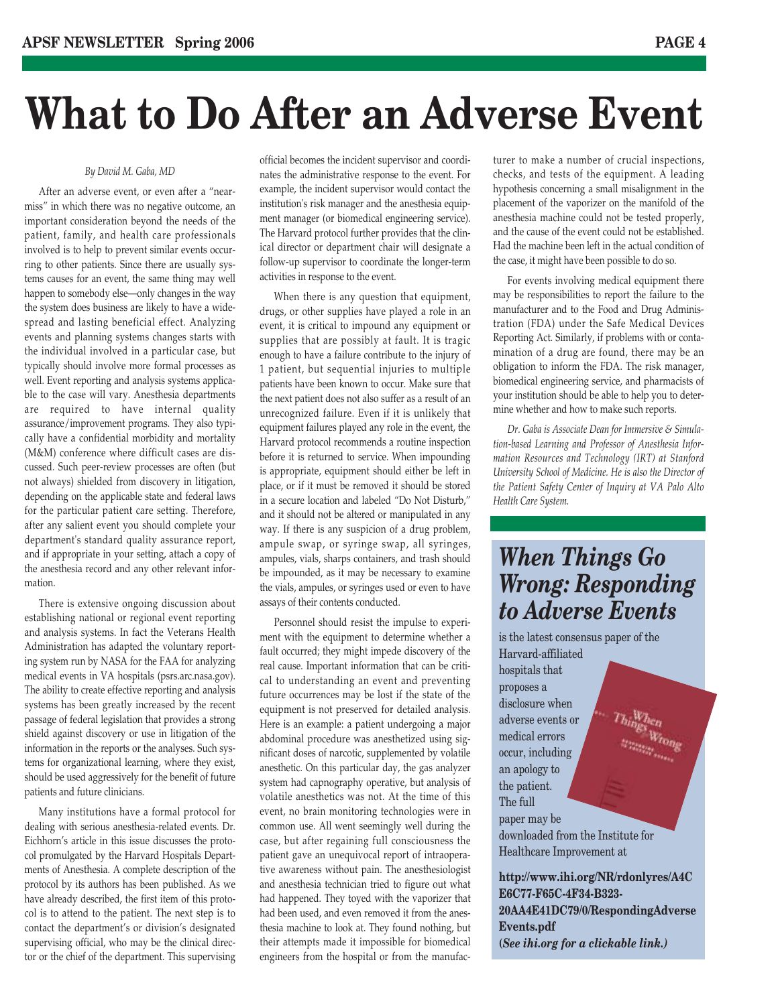## **What to Do After an Adverse Event**

#### *By David M. Gaba, MD*

After an adverse event, or even after a "nearmiss" in which there was no negative outcome, an important consideration beyond the needs of the patient, family, and health care professionals involved is to help to prevent similar events occurring to other patients. Since there are usually systems causes for an event, the same thing may well happen to somebody else—only changes in the way the system does business are likely to have a widespread and lasting beneficial effect. Analyzing events and planning systems changes starts with the individual involved in a particular case, but typically should involve more formal processes as well. Event reporting and analysis systems applicable to the case will vary. Anesthesia departments are required to have internal quality assurance/improvement programs. They also typically have a confidential morbidity and mortality (M&M) conference where difficult cases are discussed. Such peer-review processes are often (but not always) shielded from discovery in litigation, depending on the applicable state and federal laws for the particular patient care setting. Therefore, after any salient event you should complete your department's standard quality assurance report, and if appropriate in your setting, attach a copy of the anesthesia record and any other relevant information.

There is extensive ongoing discussion about establishing national or regional event reporting and analysis systems. In fact the Veterans Health Administration has adapted the voluntary reporting system run by NASA for the FAA for analyzing medical events in VA hospitals (psrs.arc.nasa.gov). The ability to create effective reporting and analysis systems has been greatly increased by the recent passage of federal legislation that provides a strong shield against discovery or use in litigation of the information in the reports or the analyses. Such systems for organizational learning, where they exist, should be used aggressively for the benefit of future patients and future clinicians.

Many institutions have a formal protocol for dealing with serious anesthesia-related events. Dr. Eichhorn's article in this issue discusses the protocol promulgated by the Harvard Hospitals Departments of Anesthesia. A complete description of the protocol by its authors has been published. As we have already described, the first item of this protocol is to attend to the patient. The next step is to contact the department's or division's designated supervising official, who may be the clinical director or the chief of the department. This supervising official becomes the incident supervisor and coordinates the administrative response to the event. For example, the incident supervisor would contact the institution's risk manager and the anesthesia equipment manager (or biomedical engineering service). The Harvard protocol further provides that the clinical director or department chair will designate a follow-up supervisor to coordinate the longer-term activities in response to the event.

When there is any question that equipment, drugs, or other supplies have played a role in an event, it is critical to impound any equipment or supplies that are possibly at fault. It is tragic enough to have a failure contribute to the injury of 1 patient, but sequential injuries to multiple patients have been known to occur. Make sure that the next patient does not also suffer as a result of an unrecognized failure. Even if it is unlikely that equipment failures played any role in the event, the Harvard protocol recommends a routine inspection before it is returned to service. When impounding is appropriate, equipment should either be left in place, or if it must be removed it should be stored in a secure location and labeled "Do Not Disturb," and it should not be altered or manipulated in any way. If there is any suspicion of a drug problem, ampule swap, or syringe swap, all syringes, ampules, vials, sharps containers, and trash should be impounded, as it may be necessary to examine the vials, ampules, or syringes used or even to have assays of their contents conducted.

Personnel should resist the impulse to experiment with the equipment to determine whether a fault occurred; they might impede discovery of the real cause. Important information that can be critical to understanding an event and preventing future occurrences may be lost if the state of the equipment is not preserved for detailed analysis. Here is an example: a patient undergoing a major abdominal procedure was anesthetized using significant doses of narcotic, supplemented by volatile anesthetic. On this particular day, the gas analyzer system had capnography operative, but analysis of volatile anesthetics was not. At the time of this event, no brain monitoring technologies were in common use. All went seemingly well during the case, but after regaining full consciousness the patient gave an unequivocal report of intraoperative awareness without pain. The anesthesiologist and anesthesia technician tried to figure out what had happened. They toyed with the vaporizer that had been used, and even removed it from the anesthesia machine to look at. They found nothing, but their attempts made it impossible for biomedical engineers from the hospital or from the manufacturer to make a number of crucial inspections, checks, and tests of the equipment. A leading hypothesis concerning a small misalignment in the placement of the vaporizer on the manifold of the anesthesia machine could not be tested properly, and the cause of the event could not be established. Had the machine been left in the actual condition of the case, it might have been possible to do so.

For events involving medical equipment there may be responsibilities to report the failure to the manufacturer and to the Food and Drug Administration (FDA) under the Safe Medical Devices Reporting Act. Similarly, if problems with or contamination of a drug are found, there may be an obligation to inform the FDA. The risk manager, biomedical engineering service, and pharmacists of your institution should be able to help you to determine whether and how to make such reports.

*Dr. Gaba is Associate Dean for Immersive & Simulation-based Learning and Professor of Anesthesia Information Resources and Technology (IRT) at Stanford University School of Medicine. He is also the Director of the Patient Safety Center of Inquiry at VA Palo Alto Health Care System.*

### *When Things Go Wrong: Responding to Adverse Events*

is the latest consensus paper of the Harvard-affiliated hospitals that proposes a disclosure when adverse events or medical errors occur, including an apology to the patient. The full paper may be downloaded from the Institute for

Healthcare Improvement at

**http://www.ihi.org/NR/rdonlyres/A4C E6C77-F65C-4F34-B323- 20AA4E41DC79/0/RespondingAdverse Events.pdf (***See ihi.org for a clickable link.)*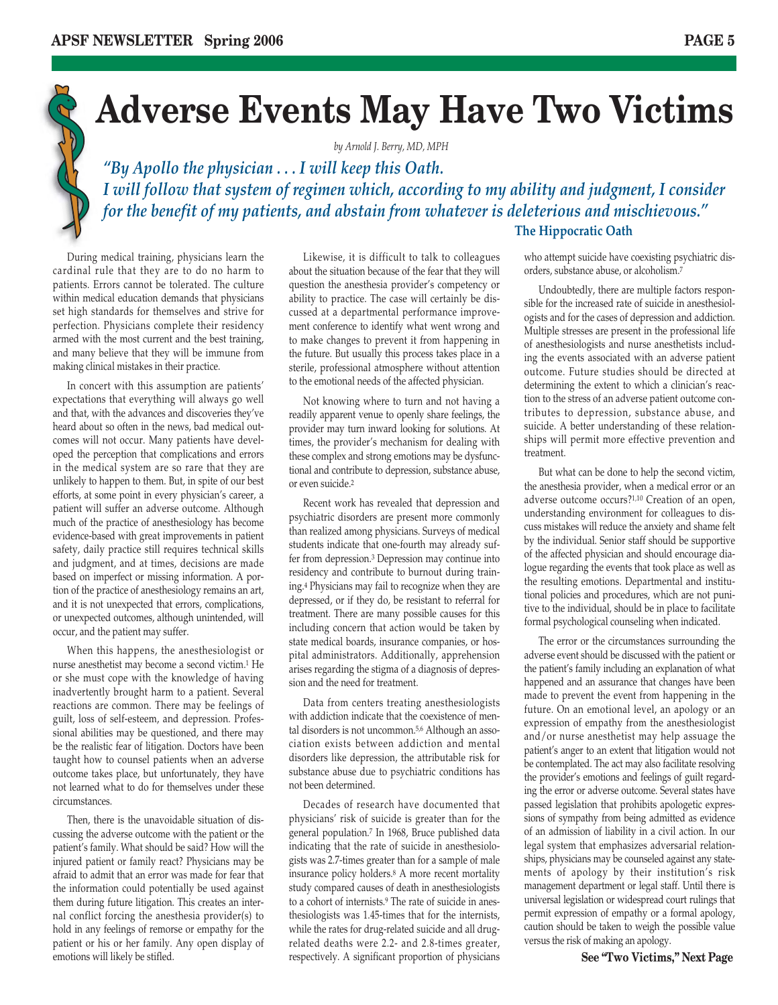

## **Adverse Events May Have Two Victims**

*by Arnold J. Berry, MD, MPH*

*"By Apollo the physician . . . I will keep this Oath. I will follow that system of regimen which, according to my ability and judgment, I consider for the benefit of my patients, and abstain from whatever is deleterious and mischievous."*  **The Hippocratic Oath**

During medical training, physicians learn the cardinal rule that they are to do no harm to patients. Errors cannot be tolerated. The culture within medical education demands that physicians set high standards for themselves and strive for perfection. Physicians complete their residency armed with the most current and the best training, and many believe that they will be immune from making clinical mistakes in their practice.

In concert with this assumption are patients' expectations that everything will always go well and that, with the advances and discoveries they've heard about so often in the news, bad medical outcomes will not occur. Many patients have developed the perception that complications and errors in the medical system are so rare that they are unlikely to happen to them. But, in spite of our best efforts, at some point in every physician's career, a patient will suffer an adverse outcome. Although much of the practice of anesthesiology has become evidence-based with great improvements in patient safety, daily practice still requires technical skills and judgment, and at times, decisions are made based on imperfect or missing information. A portion of the practice of anesthesiology remains an art, and it is not unexpected that errors, complications, or unexpected outcomes, although unintended, will occur, and the patient may suffer.

When this happens, the anesthesiologist or nurse anesthetist may become a second victim.1 He or she must cope with the knowledge of having inadvertently brought harm to a patient. Several reactions are common. There may be feelings of guilt, loss of self-esteem, and depression. Professional abilities may be questioned, and there may be the realistic fear of litigation. Doctors have been taught how to counsel patients when an adverse outcome takes place, but unfortunately, they have not learned what to do for themselves under these circumstances.

emotions will likely be stifled. **See that** is expectively. A significant proportion of physicians **See "Two Victims," Next Page** Then, there is the unavoidable situation of discussing the adverse outcome with the patient or the patient's family. What should be said? How will the injured patient or family react? Physicians may be afraid to admit that an error was made for fear that the information could potentially be used against them during future litigation. This creates an internal conflict forcing the anesthesia provider(s) to hold in any feelings of remorse or empathy for the patient or his or her family. Any open display of

Likewise, it is difficult to talk to colleagues about the situation because of the fear that they will question the anesthesia provider's competency or ability to practice. The case will certainly be discussed at a departmental performance improvement conference to identify what went wrong and to make changes to prevent it from happening in the future. But usually this process takes place in a sterile, professional atmosphere without attention to the emotional needs of the affected physician.

Not knowing where to turn and not having a readily apparent venue to openly share feelings, the provider may turn inward looking for solutions. At times, the provider's mechanism for dealing with these complex and strong emotions may be dysfunctional and contribute to depression, substance abuse, or even suicide.2

Recent work has revealed that depression and psychiatric disorders are present more commonly than realized among physicians. Surveys of medical students indicate that one-fourth may already suffer from depression.3 Depression may continue into residency and contribute to burnout during training.4 Physicians may fail to recognize when they are depressed, or if they do, be resistant to referral for treatment. There are many possible causes for this including concern that action would be taken by state medical boards, insurance companies, or hospital administrators. Additionally, apprehension arises regarding the stigma of a diagnosis of depression and the need for treatment.

Data from centers treating anesthesiologists with addiction indicate that the coexistence of mental disorders is not uncommon.<sup>5,6</sup> Although an association exists between addiction and mental disorders like depression, the attributable risk for substance abuse due to psychiatric conditions has not been determined.

Decades of research have documented that physicians' risk of suicide is greater than for the general population.7 In 1968, Bruce published data indicating that the rate of suicide in anesthesiologists was 2.7-times greater than for a sample of male insurance policy holders.8 A more recent mortality study compared causes of death in anesthesiologists to a cohort of internists.9 The rate of suicide in anesthesiologists was 1.45-times that for the internists, while the rates for drug-related suicide and all drugrelated deaths were 2.2- and 2.8-times greater,

who attempt suicide have coexisting psychiatric disorders, substance abuse, or alcoholism.7

Undoubtedly, there are multiple factors responsible for the increased rate of suicide in anesthesiologists and for the cases of depression and addiction. Multiple stresses are present in the professional life of anesthesiologists and nurse anesthetists including the events associated with an adverse patient outcome. Future studies should be directed at determining the extent to which a clinician's reaction to the stress of an adverse patient outcome contributes to depression, substance abuse, and suicide. A better understanding of these relationships will permit more effective prevention and treatment.

But what can be done to help the second victim, the anesthesia provider, when a medical error or an adverse outcome occurs?1,10 Creation of an open, understanding environment for colleagues to discuss mistakes will reduce the anxiety and shame felt by the individual. Senior staff should be supportive of the affected physician and should encourage dialogue regarding the events that took place as well as the resulting emotions. Departmental and institutional policies and procedures, which are not punitive to the individual, should be in place to facilitate formal psychological counseling when indicated.

The error or the circumstances surrounding the adverse event should be discussed with the patient or the patient's family including an explanation of what happened and an assurance that changes have been made to prevent the event from happening in the future. On an emotional level, an apology or an expression of empathy from the anesthesiologist and/or nurse anesthetist may help assuage the patient's anger to an extent that litigation would not be contemplated. The act may also facilitate resolving the provider's emotions and feelings of guilt regarding the error or adverse outcome. Several states have passed legislation that prohibits apologetic expressions of sympathy from being admitted as evidence of an admission of liability in a civil action. In our legal system that emphasizes adversarial relationships, physicians may be counseled against any statements of apology by their institution's risk management department or legal staff. Until there is universal legislation or widespread court rulings that permit expression of empathy or a formal apology, caution should be taken to weigh the possible value versus the risk of making an apology.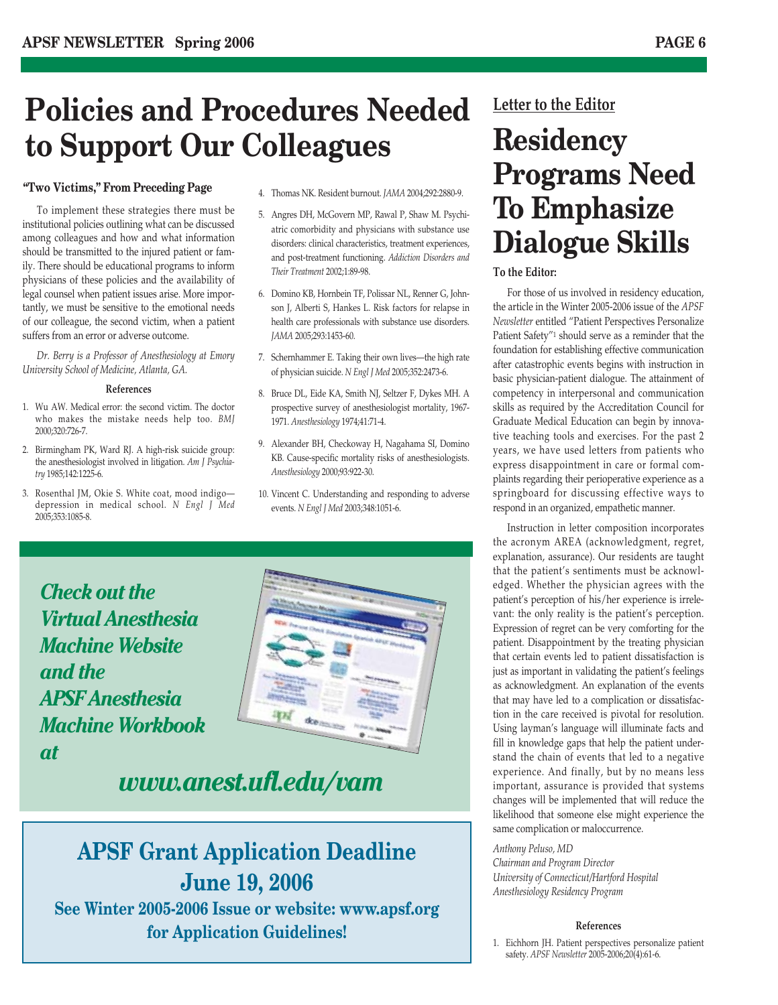### **Policies and Procedures Needed to Support Our Colleagues**

#### **"Two Victims," From Preceding Page**

To implement these strategies there must be institutional policies outlining what can be discussed among colleagues and how and what information should be transmitted to the injured patient or family. There should be educational programs to inform physicians of these policies and the availability of legal counsel when patient issues arise. More importantly, we must be sensitive to the emotional needs of our colleague, the second victim, when a patient suffers from an error or adverse outcome.

*Dr. Berry is a Professor of Anesthesiology at Emory University School of Medicine, Atlanta, GA.* 

#### **References**

- 1. Wu AW. Medical error: the second victim. The doctor who makes the mistake needs help too. *BMJ* 2000;320:726-7.
- 2. Birmingham PK, Ward RJ. A high-risk suicide group: the anesthesiologist involved in litigation. *Am J Psychiatry* 1985;142:1225-6.
- 3. Rosenthal JM, Okie S. White coat, mood indigo depression in medical school. *N Engl J Med* 2005;353:1085-8.
- 4. Thomas NK. Resident burnout. *JAMA* 2004;292:2880-9.
- 5. Angres DH, McGovern MP, Rawal P, Shaw M. Psychiatric comorbidity and physicians with substance use disorders: clinical characteristics, treatment experiences, and post-treatment functioning. *Addiction Disorders and Their Treatment* 2002;1:89-98.
- 6. Domino KB, Hornbein TF, Polissar NL, Renner G, Johnson J, Alberti S, Hankes L. Risk factors for relapse in health care professionals with substance use disorders. *JAMA* 2005;293:1453-60.
- 7. Schernhammer E. Taking their own lives—the high rate of physician suicide. *N Engl J Med* 2005;352:2473-6.
- 8. Bruce DL, Eide KA, Smith NJ, Seltzer F, Dykes MH. A prospective survey of anesthesiologist mortality, 1967- 1971. *Anesthesiology* 1974;41:71-4.
- 9. Alexander BH, Checkoway H, Nagahama SI, Domino KB. Cause-specific mortality risks of anesthesiologists. *Anesthesiology* 2000;93:922-30.
- 10. Vincent C. Understanding and responding to adverse events. *N Engl J Med* 2003;348:1051-6.





*www.anest.ufl.edu/vam*

### **APSF Grant Application Deadline June 19, 2006**

**See Winter 2005-2006 Issue or website: www.apsf.org for Application Guidelines!**

#### **Letter to the Editor**

### **Residency Programs Need To Emphasize Dialogue Skills**

#### **To the Editor:**

For those of us involved in residency education, the article in the Winter 2005-2006 issue of the *APSF Newsletter* entitled "Patient Perspectives Personalize Patient Safety"1 should serve as a reminder that the foundation for establishing effective communication after catastrophic events begins with instruction in basic physician-patient dialogue. The attainment of competency in interpersonal and communication skills as required by the Accreditation Council for Graduate Medical Education can begin by innovative teaching tools and exercises. For the past 2 years, we have used letters from patients who express disappointment in care or formal complaints regarding their perioperative experience as a springboard for discussing effective ways to respond in an organized, empathetic manner.

Instruction in letter composition incorporates the acronym AREA (acknowledgment, regret, explanation, assurance). Our residents are taught that the patient's sentiments must be acknowledged. Whether the physician agrees with the patient's perception of his/her experience is irrelevant: the only reality is the patient's perception. Expression of regret can be very comforting for the patient. Disappointment by the treating physician that certain events led to patient dissatisfaction is just as important in validating the patient's feelings as acknowledgment. An explanation of the events that may have led to a complication or dissatisfaction in the care received is pivotal for resolution. Using layman's language will illuminate facts and fill in knowledge gaps that help the patient understand the chain of events that led to a negative experience. And finally, but by no means less important, assurance is provided that systems changes will be implemented that will reduce the likelihood that someone else might experience the same complication or maloccurrence.

*Anthony Peluso, MD*

*Chairman and Program Director University of Connecticut/Hartford Hospital Anesthesiology Residency Program*

#### **References**

1. Eichhorn JH. Patient perspectives personalize patient safety. *APSF Newsletter* 2005-2006;20(4):61-6.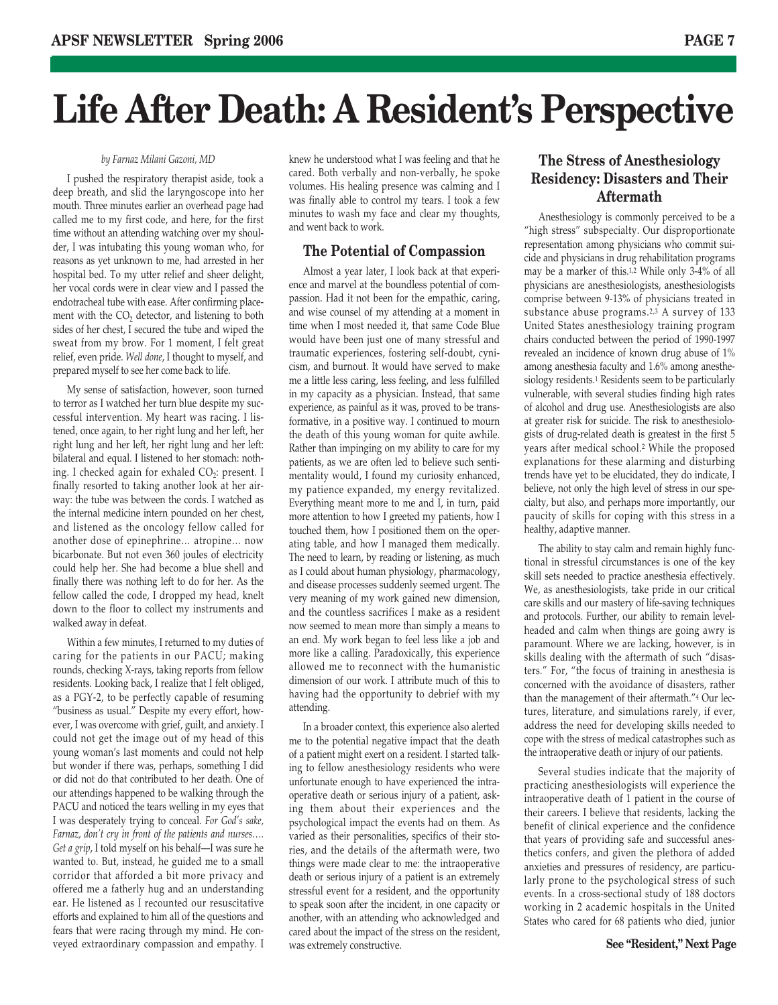## **Life After Death: A Resident's Perspective**

#### *by Farnaz Milani Gazoni, MD*

I pushed the respiratory therapist aside, took a deep breath, and slid the laryngoscope into her mouth. Three minutes earlier an overhead page had called me to my first code, and here, for the first time without an attending watching over my shoulder, I was intubating this young woman who, for reasons as yet unknown to me, had arrested in her hospital bed. To my utter relief and sheer delight, her vocal cords were in clear view and I passed the endotracheal tube with ease. After confirming placement with the  $CO<sub>2</sub>$  detector, and listening to both sides of her chest, I secured the tube and wiped the sweat from my brow. For 1 moment, I felt great relief, even pride. *Well done*, I thought to myself, and prepared myself to see her come back to life.

My sense of satisfaction, however, soon turned to terror as I watched her turn blue despite my successful intervention. My heart was racing. I listened, once again, to her right lung and her left, her right lung and her left, her right lung and her left: bilateral and equal. I listened to her stomach: nothing. I checked again for exhaled  $CO<sub>2</sub>$ : present. I finally resorted to taking another look at her airway: the tube was between the cords. I watched as the internal medicine intern pounded on her chest, and listened as the oncology fellow called for another dose of epinephrine… atropine… now bicarbonate. But not even 360 joules of electricity could help her. She had become a blue shell and finally there was nothing left to do for her. As the fellow called the code, I dropped my head, knelt down to the floor to collect my instruments and walked away in defeat.

Within a few minutes, I returned to my duties of caring for the patients in our PACU; making rounds, checking X-rays, taking reports from fellow residents. Looking back, I realize that I felt obliged, as a PGY-2, to be perfectly capable of resuming "business as usual." Despite my every effort, however, I was overcome with grief, guilt, and anxiety. I could not get the image out of my head of this young woman's last moments and could not help but wonder if there was, perhaps, something I did or did not do that contributed to her death. One of our attendings happened to be walking through the PACU and noticed the tears welling in my eyes that I was desperately trying to conceal. *For God's sake, Farnaz, don't cry in front of the patients and nurses…. Get a grip*, I told myself on his behalf—I was sure he wanted to. But, instead, he guided me to a small corridor that afforded a bit more privacy and offered me a fatherly hug and an understanding ear. He listened as I recounted our resuscitative efforts and explained to him all of the questions and fears that were racing through my mind. He conveyed extraordinary compassion and empathy. I

knew he understood what I was feeling and that he cared. Both verbally and non-verbally, he spoke volumes. His healing presence was calming and I was finally able to control my tears. I took a few minutes to wash my face and clear my thoughts, and went back to work.

#### **The Potential of Compassion**

Almost a year later, I look back at that experience and marvel at the boundless potential of compassion. Had it not been for the empathic, caring, and wise counsel of my attending at a moment in time when I most needed it, that same Code Blue would have been just one of many stressful and traumatic experiences, fostering self-doubt, cynicism, and burnout. It would have served to make me a little less caring, less feeling, and less fulfilled in my capacity as a physician. Instead, that same experience, as painful as it was, proved to be transformative, in a positive way. I continued to mourn the death of this young woman for quite awhile. Rather than impinging on my ability to care for my patients, as we are often led to believe such sentimentality would, I found my curiosity enhanced, my patience expanded, my energy revitalized. Everything meant more to me and I, in turn, paid more attention to how I greeted my patients, how I touched them, how I positioned them on the operating table, and how I managed them medically. The need to learn, by reading or listening, as much as I could about human physiology, pharmacology, and disease processes suddenly seemed urgent. The very meaning of my work gained new dimension, and the countless sacrifices I make as a resident now seemed to mean more than simply a means to an end. My work began to feel less like a job and more like a calling. Paradoxically, this experience allowed me to reconnect with the humanistic dimension of our work. I attribute much of this to having had the opportunity to debrief with my attending.

In a broader context, this experience also alerted me to the potential negative impact that the death of a patient might exert on a resident. I started talking to fellow anesthesiology residents who were unfortunate enough to have experienced the intraoperative death or serious injury of a patient, asking them about their experiences and the psychological impact the events had on them. As varied as their personalities, specifics of their stories, and the details of the aftermath were, two things were made clear to me: the intraoperative death or serious injury of a patient is an extremely stressful event for a resident, and the opportunity to speak soon after the incident, in one capacity or another, with an attending who acknowledged and cared about the impact of the stress on the resident, was extremely constructive.

#### **The Stress of Anesthesiology Residency: Disasters and Their Aftermath**

Anesthesiology is commonly perceived to be a "high stress" subspecialty. Our disproportionate representation among physicians who commit suicide and physicians in drug rehabilitation programs may be a marker of this.1,2 While only 3-4% of all physicians are anesthesiologists, anesthesiologists comprise between 9-13% of physicians treated in substance abuse programs.2,3 A survey of 133 United States anesthesiology training program chairs conducted between the period of 1990-1997 revealed an incidence of known drug abuse of 1% among anesthesia faculty and 1.6% among anesthesiology residents.1 Residents seem to be particularly vulnerable, with several studies finding high rates of alcohol and drug use. Anesthesiologists are also at greater risk for suicide. The risk to anesthesiologists of drug-related death is greatest in the first 5 years after medical school.2 While the proposed explanations for these alarming and disturbing trends have yet to be elucidated, they do indicate, I believe, not only the high level of stress in our specialty, but also, and perhaps more importantly, our paucity of skills for coping with this stress in a healthy, adaptive manner.

The ability to stay calm and remain highly functional in stressful circumstances is one of the key skill sets needed to practice anesthesia effectively. We, as anesthesiologists, take pride in our critical care skills and our mastery of life-saving techniques and protocols. Further, our ability to remain levelheaded and calm when things are going awry is paramount. Where we are lacking, however, is in skills dealing with the aftermath of such "disasters." For, "the focus of training in anesthesia is concerned with the avoidance of disasters, rather than the management of their aftermath."4 Our lectures, literature, and simulations rarely, if ever, address the need for developing skills needed to cope with the stress of medical catastrophes such as the intraoperative death or injury of our patients.

Several studies indicate that the majority of practicing anesthesiologists will experience the intraoperative death of 1 patient in the course of their careers. I believe that residents, lacking the benefit of clinical experience and the confidence that years of providing safe and successful anesthetics confers, and given the plethora of added anxieties and pressures of residency, are particularly prone to the psychological stress of such events. In a cross-sectional study of 188 doctors working in 2 academic hospitals in the United States who cared for 68 patients who died, junior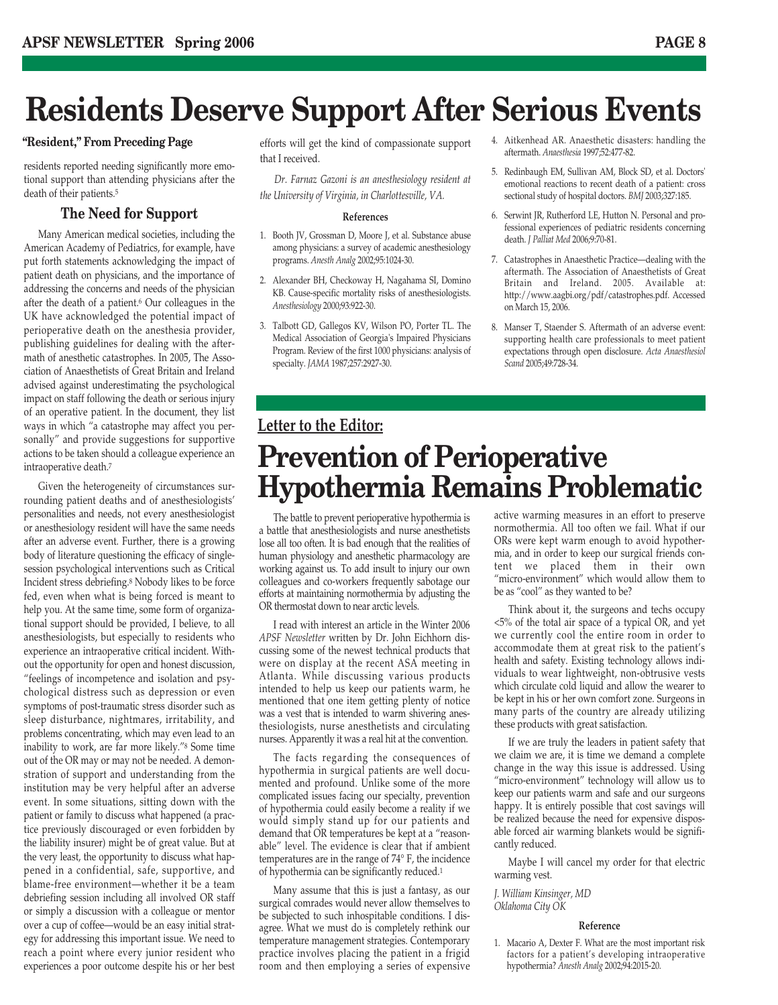### **Residents Deserve Support After Serious Events**

residents reported needing significantly more emotional support than attending physicians after the death of their patients.5

#### **The Need for Support**

Many American medical societies, including the American Academy of Pediatrics, for example, have put forth statements acknowledging the impact of patient death on physicians, and the importance of addressing the concerns and needs of the physician after the death of a patient.6 Our colleagues in the UK have acknowledged the potential impact of perioperative death on the anesthesia provider, publishing guidelines for dealing with the aftermath of anesthetic catastrophes. In 2005, The Association of Anaesthetists of Great Britain and Ireland advised against underestimating the psychological impact on staff following the death or serious injury of an operative patient. In the document, they list ways in which "a catastrophe may affect you personally" and provide suggestions for supportive actions to be taken should a colleague experience an intraoperative death.7

Given the heterogeneity of circumstances surrounding patient deaths and of anesthesiologists' personalities and needs, not every anesthesiologist or anesthesiology resident will have the same needs after an adverse event. Further, there is a growing body of literature questioning the efficacy of singlesession psychological interventions such as Critical Incident stress debriefing.8 Nobody likes to be force fed, even when what is being forced is meant to help you. At the same time, some form of organizational support should be provided, I believe, to all anesthesiologists, but especially to residents who experience an intraoperative critical incident. Without the opportunity for open and honest discussion, "feelings of incompetence and isolation and psychological distress such as depression or even symptoms of post-traumatic stress disorder such as sleep disturbance, nightmares, irritability, and problems concentrating, which may even lead to an inability to work, are far more likely."8 Some time out of the OR may or may not be needed. A demonstration of support and understanding from the institution may be very helpful after an adverse event. In some situations, sitting down with the patient or family to discuss what happened (a practice previously discouraged or even forbidden by the liability insurer) might be of great value. But at the very least, the opportunity to discuss what happened in a confidential, safe, supportive, and blame-free environment—whether it be a team debriefing session including all involved OR staff or simply a discussion with a colleague or mentor over a cup of coffee—would be an easy initial strategy for addressing this important issue. We need to reach a point where every junior resident who experiences a poor outcome despite his or her best that I received.

*Dr. Farnaz Gazoni is an anesthesiology resident at the University of Virginia, in Charlottesville, VA.*

#### **References**

- 1. Booth JV, Grossman D, Moore J, et al. Substance abuse among physicians: a survey of academic anesthesiology programs. *Anesth Analg* 2002;95:1024-30.
- 2. Alexander BH, Checkoway H, Nagahama SI, Domino KB. Cause-specific mortality risks of anesthesiologists. *Anesthesiology* 2000;93:922-30.
- 3. Talbott GD, Gallegos KV, Wilson PO, Porter TL. The Medical Association of Georgia's Impaired Physicians Program. Review of the first 1000 physicians: analysis of specialty. *JAMA* 1987;257:2927-30.
- **"Resident," From Preceding Page** efforts will get the kind of compassionate support <sup>4. Aitkenhead AR. Anaesthetic disasters: handling the</sup> aftermath. *Anaesthesia* 1997;52:477-82.
	- 5. Redinbaugh EM, Sullivan AM, Block SD, et al. Doctors' emotional reactions to recent death of a patient: cross sectional study of hospital doctors. *BMJ* 2003;327:185.
	- 6. Serwint JR, Rutherford LE, Hutton N. Personal and professional experiences of pediatric residents concerning death. *J Palliat Med* 2006;9:70-81.
	- 7. Catastrophes in Anaesthetic Practice—dealing with the aftermath. The Association of Anaesthetists of Great Britain and Ireland. 2005. Available at: http://www.aagbi.org/pdf/catastrophes.pdf. Accessed on March 15, 2006.
	- 8. Manser T, Staender S. Aftermath of an adverse event: supporting health care professionals to meet patient expectations through open disclosure. *Acta Anaesthesiol Scand* 2005;49:728-34.

### **Letter to the Editor: Prevention of Perioperative Hypothermia Remains Problematic**

The battle to prevent perioperative hypothermia is a battle that anesthesiologists and nurse anesthetists lose all too often. It is bad enough that the realities of human physiology and anesthetic pharmacology are working against us. To add insult to injury our own colleagues and co-workers frequently sabotage our efforts at maintaining normothermia by adjusting the OR thermostat down to near arctic levels.

I read with interest an article in the Winter 2006 *APSF Newsletter* written by Dr. John Eichhorn discussing some of the newest technical products that were on display at the recent ASA meeting in Atlanta. While discussing various products intended to help us keep our patients warm, he mentioned that one item getting plenty of notice was a vest that is intended to warm shivering anesthesiologists, nurse anesthetists and circulating nurses. Apparently it was a real hit at the convention.

The facts regarding the consequences of hypothermia in surgical patients are well documented and profound. Unlike some of the more complicated issues facing our specialty, prevention of hypothermia could easily become a reality if we would simply stand up for our patients and demand that OR temperatures be kept at a "reasonable" level. The evidence is clear that if ambient temperatures are in the range of 74° F, the incidence of hypothermia can be significantly reduced.1

Many assume that this is just a fantasy, as our surgical comrades would never allow themselves to be subjected to such inhospitable conditions. I disagree. What we must do is completely rethink our temperature management strategies. Contemporary practice involves placing the patient in a frigid room and then employing a series of expensive

active warming measures in an effort to preserve normothermia. All too often we fail. What if our ORs were kept warm enough to avoid hypothermia, and in order to keep our surgical friends content we placed them in their own "micro-environment" which would allow them to be as "cool" as they wanted to be?

Think about it, the surgeons and techs occupy <5% of the total air space of a typical OR, and yet we currently cool the entire room in order to accommodate them at great risk to the patient's health and safety. Existing technology allows individuals to wear lightweight, non-obtrusive vests which circulate cold liquid and allow the wearer to be kept in his or her own comfort zone. Surgeons in many parts of the country are already utilizing these products with great satisfaction.

If we are truly the leaders in patient safety that we claim we are, it is time we demand a complete change in the way this issue is addressed. Using "micro-environment" technology will allow us to keep our patients warm and safe and our surgeons happy. It is entirely possible that cost savings will be realized because the need for expensive disposable forced air warming blankets would be significantly reduced.

Maybe I will cancel my order for that electric warming vest.

*J. William Kinsinger, MD Oklahoma City OK*

#### **Reference**

1. Macario A, Dexter F. What are the most important risk factors for a patient's developing intraoperative hypothermia? *Anesth Analg* 2002;94:2015-20.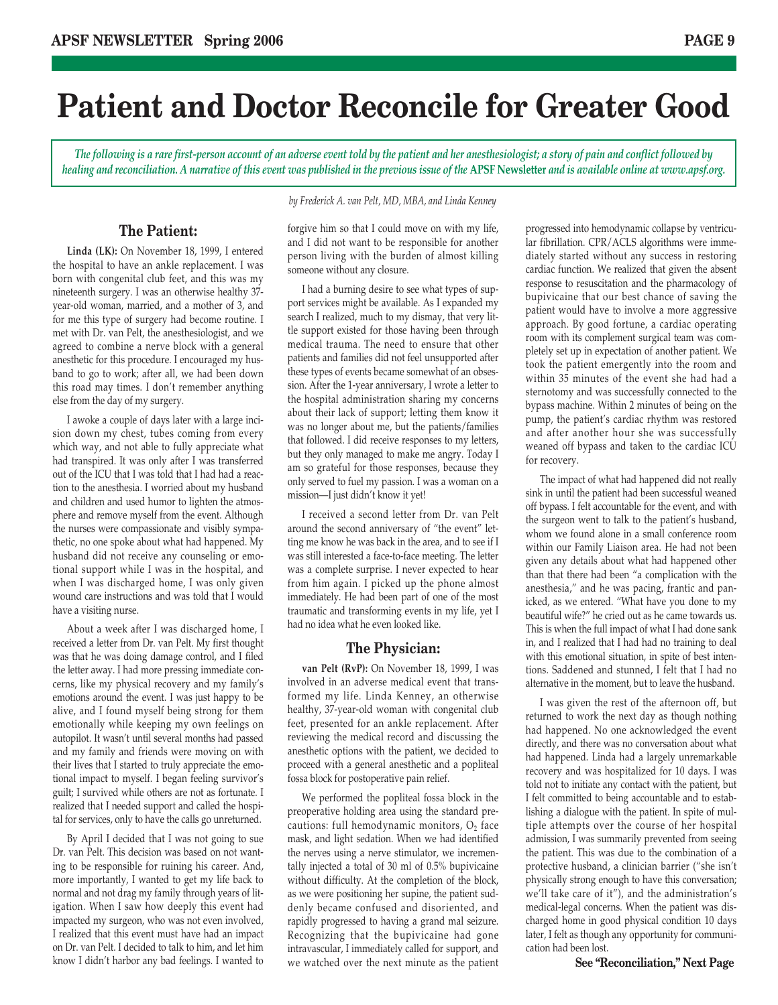### **Patient and Doctor Reconcile for Greater Good**

*The following is a rare first-person account of an adverse event told by the patient and her anesthesiologist; a story of pain and conflict followed by healing and reconciliation. A narrative of this event was published in the previous issue of the* **APSF Newsletter** *and is available online at www.apsf.org.*

#### **The Patient:**

**Linda (LK):** On November 18, 1999, I entered the hospital to have an ankle replacement. I was born with congenital club feet, and this was my nineteenth surgery. I was an otherwise healthy 37 year-old woman, married, and a mother of 3, and for me this type of surgery had become routine. I met with Dr. van Pelt, the anesthesiologist, and we agreed to combine a nerve block with a general anesthetic for this procedure. I encouraged my husband to go to work; after all, we had been down this road may times. I don't remember anything else from the day of my surgery.

I awoke a couple of days later with a large incision down my chest, tubes coming from every which way, and not able to fully appreciate what had transpired. It was only after I was transferred out of the ICU that I was told that I had had a reaction to the anesthesia. I worried about my husband and children and used humor to lighten the atmosphere and remove myself from the event. Although the nurses were compassionate and visibly sympathetic, no one spoke about what had happened. My husband did not receive any counseling or emotional support while I was in the hospital, and when I was discharged home, I was only given wound care instructions and was told that I would have a visiting nurse.

About a week after I was discharged home, I received a letter from Dr. van Pelt. My first thought was that he was doing damage control, and I filed the letter away. I had more pressing immediate concerns, like my physical recovery and my family's emotions around the event. I was just happy to be alive, and I found myself being strong for them emotionally while keeping my own feelings on autopilot. It wasn't until several months had passed and my family and friends were moving on with their lives that I started to truly appreciate the emotional impact to myself. I began feeling survivor's guilt; I survived while others are not as fortunate. I realized that I needed support and called the hospital for services, only to have the calls go unreturned.

By April I decided that I was not going to sue Dr. van Pelt. This decision was based on not wanting to be responsible for ruining his career. And, more importantly, I wanted to get my life back to normal and not drag my family through years of litigation. When I saw how deeply this event had impacted my surgeon, who was not even involved, I realized that this event must have had an impact on Dr. van Pelt. I decided to talk to him, and let him know I didn't harbor any bad feelings. I wanted to

*by Frederick A. van Pelt, MD, MBA, and Linda Kenney*

forgive him so that I could move on with my life, and I did not want to be responsible for another person living with the burden of almost killing someone without any closure.

I had a burning desire to see what types of support services might be available. As I expanded my search I realized, much to my dismay, that very little support existed for those having been through medical trauma. The need to ensure that other patients and families did not feel unsupported after these types of events became somewhat of an obsession. After the 1-year anniversary, I wrote a letter to the hospital administration sharing my concerns about their lack of support; letting them know it was no longer about me, but the patients/families that followed. I did receive responses to my letters, but they only managed to make me angry. Today I am so grateful for those responses, because they only served to fuel my passion. I was a woman on a mission—I just didn't know it yet!

I received a second letter from Dr. van Pelt around the second anniversary of "the event" letting me know he was back in the area, and to see if I was still interested a face-to-face meeting. The letter was a complete surprise. I never expected to hear from him again. I picked up the phone almost immediately. He had been part of one of the most traumatic and transforming events in my life, yet I had no idea what he even looked like.

#### **The Physician:**

**van Pelt (RvP):** On November 18, 1999, I was involved in an adverse medical event that transformed my life. Linda Kenney, an otherwise healthy, 37-year-old woman with congenital club feet, presented for an ankle replacement. After reviewing the medical record and discussing the anesthetic options with the patient, we decided to proceed with a general anesthetic and a popliteal fossa block for postoperative pain relief.

We performed the popliteal fossa block in the preoperative holding area using the standard precautions: full hemodynamic monitors,  $O_2$  face mask, and light sedation. When we had identified the nerves using a nerve stimulator, we incrementally injected a total of 30 ml of 0.5% bupivicaine without difficulty. At the completion of the block, as we were positioning her supine, the patient suddenly became confused and disoriented, and rapidly progressed to having a grand mal seizure. Recognizing that the bupivicaine had gone intravascular, I immediately called for support, and we watched over the next minute as the patient

progressed into hemodynamic collapse by ventricular fibrillation. CPR/ACLS algorithms were immediately started without any success in restoring cardiac function. We realized that given the absent response to resuscitation and the pharmacology of bupivicaine that our best chance of saving the patient would have to involve a more aggressive approach. By good fortune, a cardiac operating room with its complement surgical team was completely set up in expectation of another patient. We took the patient emergently into the room and within 35 minutes of the event she had had a sternotomy and was successfully connected to the bypass machine. Within 2 minutes of being on the pump, the patient's cardiac rhythm was restored and after another hour she was successfully weaned off bypass and taken to the cardiac ICU for recovery.

The impact of what had happened did not really sink in until the patient had been successful weaned off bypass. I felt accountable for the event, and with the surgeon went to talk to the patient's husband, whom we found alone in a small conference room within our Family Liaison area. He had not been given any details about what had happened other than that there had been "a complication with the anesthesia," and he was pacing, frantic and panicked, as we entered. "What have you done to my beautiful wife?" he cried out as he came towards us. This is when the full impact of what I had done sank in, and I realized that I had had no training to deal with this emotional situation, in spite of best intentions. Saddened and stunned, I felt that I had no alternative in the moment, but to leave the husband.

I was given the rest of the afternoon off, but returned to work the next day as though nothing had happened. No one acknowledged the event directly, and there was no conversation about what had happened. Linda had a largely unremarkable recovery and was hospitalized for 10 days. I was told not to initiate any contact with the patient, but I felt committed to being accountable and to establishing a dialogue with the patient. In spite of multiple attempts over the course of her hospital admission, I was summarily prevented from seeing the patient. This was due to the combination of a protective husband, a clinician barrier ("she isn't physically strong enough to have this conversation; we'll take care of it"), and the administration's medical-legal concerns. When the patient was discharged home in good physical condition 10 days later, I felt as though any opportunity for communication had been lost.

**See "Reconciliation," Next Page**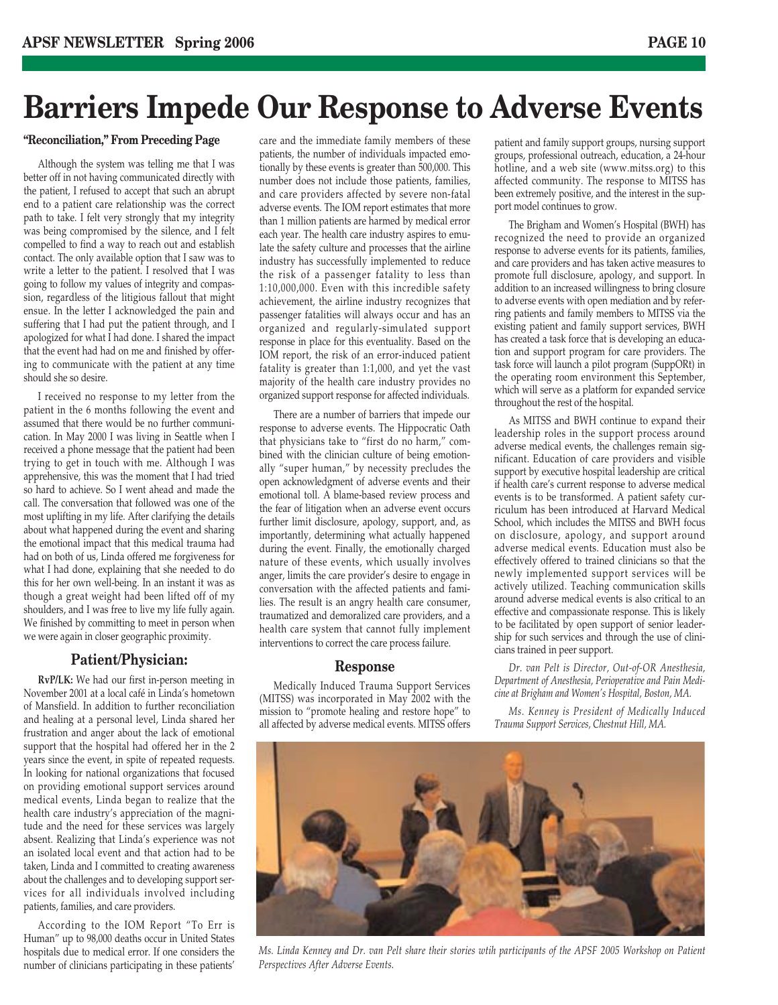### **Barriers Impede Our Response to Adverse Events**

#### **"Reconciliation," From Preceding Page**

Although the system was telling me that I was better off in not having communicated directly with the patient, I refused to accept that such an abrupt end to a patient care relationship was the correct path to take. I felt very strongly that my integrity was being compromised by the silence, and I felt compelled to find a way to reach out and establish contact. The only available option that I saw was to write a letter to the patient. I resolved that I was going to follow my values of integrity and compassion, regardless of the litigious fallout that might ensue. In the letter I acknowledged the pain and suffering that I had put the patient through, and I apologized for what I had done. I shared the impact that the event had had on me and finished by offering to communicate with the patient at any time should she so desire.

I received no response to my letter from the patient in the 6 months following the event and assumed that there would be no further communication. In May 2000 I was living in Seattle when I received a phone message that the patient had been trying to get in touch with me. Although I was apprehensive, this was the moment that I had tried so hard to achieve. So I went ahead and made the call. The conversation that followed was one of the most uplifting in my life. After clarifying the details about what happened during the event and sharing the emotional impact that this medical trauma had had on both of us, Linda offered me forgiveness for what I had done, explaining that she needed to do this for her own well-being. In an instant it was as though a great weight had been lifted off of my shoulders, and I was free to live my life fully again. We finished by committing to meet in person when we were again in closer geographic proximity.

#### **Patient/Physician:**

**RvP/LK:** We had our first in-person meeting in November 2001 at a local café in Linda's hometown of Mansfield. In addition to further reconciliation and healing at a personal level, Linda shared her frustration and anger about the lack of emotional support that the hospital had offered her in the 2 years since the event, in spite of repeated requests. In looking for national organizations that focused on providing emotional support services around medical events, Linda began to realize that the health care industry's appreciation of the magnitude and the need for these services was largely absent. Realizing that Linda's experience was not an isolated local event and that action had to be taken, Linda and I committed to creating awareness about the challenges and to developing support services for all individuals involved including patients, families, and care providers.

According to the IOM Report "To Err is Human" up to 98,000 deaths occur in United States hospitals due to medical error. If one considers the number of clinicians participating in these patients'

care and the immediate family members of these patients, the number of individuals impacted emotionally by these events is greater than 500,000. This number does not include those patients, families, and care providers affected by severe non-fatal adverse events. The IOM report estimates that more than 1 million patients are harmed by medical error each year. The health care industry aspires to emulate the safety culture and processes that the airline industry has successfully implemented to reduce the risk of a passenger fatality to less than 1:10,000,000. Even with this incredible safety achievement, the airline industry recognizes that passenger fatalities will always occur and has an organized and regularly-simulated support response in place for this eventuality. Based on the IOM report, the risk of an error-induced patient fatality is greater than 1:1,000, and yet the vast majority of the health care industry provides no organized support response for affected individuals.

There are a number of barriers that impede our response to adverse events. The Hippocratic Oath that physicians take to "first do no harm," combined with the clinician culture of being emotionally "super human," by necessity precludes the open acknowledgment of adverse events and their emotional toll. A blame-based review process and the fear of litigation when an adverse event occurs further limit disclosure, apology, support, and, as importantly, determining what actually happened during the event. Finally, the emotionally charged nature of these events, which usually involves anger, limits the care provider's desire to engage in conversation with the affected patients and families. The result is an angry health care consumer, traumatized and demoralized care providers, and a health care system that cannot fully implement interventions to correct the care process failure.

#### **Response**

Medically Induced Trauma Support Services (MITSS) was incorporated in May 2002 with the mission to "promote healing and restore hope" to all affected by adverse medical events. MITSS offers patient and family support groups, nursing support groups, professional outreach, education, a 24-hour hotline, and a web site (www.mitss.org) to this affected community. The response to MITSS has been extremely positive, and the interest in the support model continues to grow.

The Brigham and Women's Hospital (BWH) has recognized the need to provide an organized response to adverse events for its patients, families, and care providers and has taken active measures to promote full disclosure, apology, and support. In addition to an increased willingness to bring closure to adverse events with open mediation and by referring patients and family members to MITSS via the existing patient and family support services, BWH has created a task force that is developing an education and support program for care providers. The task force will launch a pilot program (SuppORt) in the operating room environment this September, which will serve as a platform for expanded service throughout the rest of the hospital.

As MITSS and BWH continue to expand their leadership roles in the support process around adverse medical events, the challenges remain significant. Education of care providers and visible support by executive hospital leadership are critical if health care's current response to adverse medical events is to be transformed. A patient safety curriculum has been introduced at Harvard Medical School, which includes the MITSS and BWH focus on disclosure, apology, and support around adverse medical events. Education must also be effectively offered to trained clinicians so that the newly implemented support services will be actively utilized. Teaching communication skills around adverse medical events is also critical to an effective and compassionate response. This is likely to be facilitated by open support of senior leadership for such services and through the use of clinicians trained in peer support.

*Dr. van Pelt is Director, Out-of-OR Anesthesia, Department of Anesthesia, Perioperative and Pain Medicine at Brigham and Women's Hospital, Boston, MA.*

*Ms. Kenney is President of Medically Induced Trauma Support Services, Chestnut Hill, MA.*



*Ms. Linda Kenney and Dr. van Pelt share their stories wtih participants of the APSF 2005 Workshop on Patient Perspectives After Adverse Events.*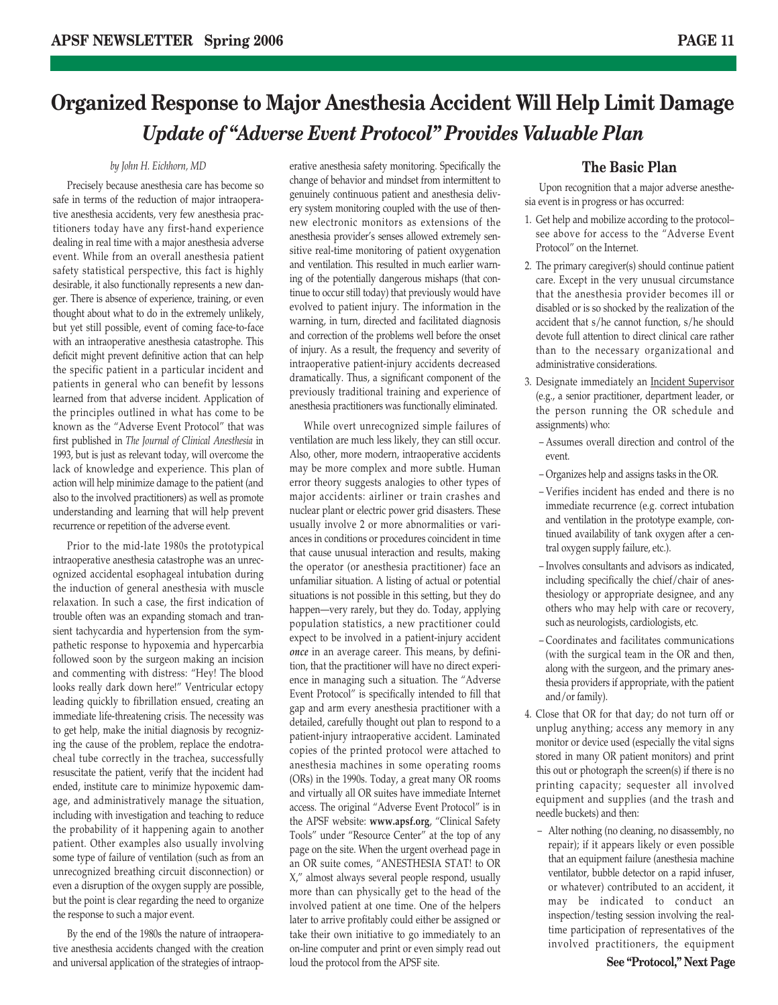### **Organized Response to Major Anesthesia Accident Will Help Limit Damage** *Update of "Adverse Event Protocol" Provides Valuable Plan*

#### *by John H. Eichhorn, MD*

Precisely because anesthesia care has become so safe in terms of the reduction of major intraoperative anesthesia accidents, very few anesthesia practitioners today have any first-hand experience dealing in real time with a major anesthesia adverse event. While from an overall anesthesia patient safety statistical perspective, this fact is highly desirable, it also functionally represents a new danger. There is absence of experience, training, or even thought about what to do in the extremely unlikely, but yet still possible, event of coming face-to-face with an intraoperative anesthesia catastrophe. This deficit might prevent definitive action that can help the specific patient in a particular incident and patients in general who can benefit by lessons learned from that adverse incident. Application of the principles outlined in what has come to be known as the "Adverse Event Protocol" that was first published in *The Journal of Clinical Anesthesia* in 1993, but is just as relevant today, will overcome the lack of knowledge and experience. This plan of action will help minimize damage to the patient (and also to the involved practitioners) as well as promote understanding and learning that will help prevent recurrence or repetition of the adverse event.

Prior to the mid-late 1980s the prototypical intraoperative anesthesia catastrophe was an unrecognized accidental esophageal intubation during the induction of general anesthesia with muscle relaxation. In such a case, the first indication of trouble often was an expanding stomach and transient tachycardia and hypertension from the sympathetic response to hypoxemia and hypercarbia followed soon by the surgeon making an incision and commenting with distress: "Hey! The blood looks really dark down here!" Ventricular ectopy leading quickly to fibrillation ensued, creating an immediate life-threatening crisis. The necessity was to get help, make the initial diagnosis by recognizing the cause of the problem, replace the endotracheal tube correctly in the trachea, successfully resuscitate the patient, verify that the incident had ended, institute care to minimize hypoxemic damage, and administratively manage the situation, including with investigation and teaching to reduce the probability of it happening again to another patient. Other examples also usually involving some type of failure of ventilation (such as from an unrecognized breathing circuit disconnection) or even a disruption of the oxygen supply are possible, but the point is clear regarding the need to organize the response to such a major event.

By the end of the 1980s the nature of intraoperative anesthesia accidents changed with the creation and universal application of the strategies of intraop-

erative anesthesia safety monitoring. Specifically the change of behavior and mindset from intermittent to genuinely continuous patient and anesthesia delivery system monitoring coupled with the use of thennew electronic monitors as extensions of the anesthesia provider's senses allowed extremely sensitive real-time monitoring of patient oxygenation and ventilation. This resulted in much earlier warning of the potentially dangerous mishaps (that continue to occur still today) that previously would have evolved to patient injury. The information in the warning, in turn, directed and facilitated diagnosis and correction of the problems well before the onset of injury. As a result, the frequency and severity of intraoperative patient-injury accidents decreased dramatically. Thus, a significant component of the previously traditional training and experience of anesthesia practitioners was functionally eliminated.

While overt unrecognized simple failures of ventilation are much less likely, they can still occur. Also, other, more modern, intraoperative accidents may be more complex and more subtle. Human error theory suggests analogies to other types of major accidents: airliner or train crashes and nuclear plant or electric power grid disasters. These usually involve 2 or more abnormalities or variances in conditions or procedures coincident in time that cause unusual interaction and results, making the operator (or anesthesia practitioner) face an unfamiliar situation. A listing of actual or potential situations is not possible in this setting, but they do happen—very rarely, but they do. Today, applying population statistics, a new practitioner could expect to be involved in a patient-injury accident *once* in an average career. This means, by definition, that the practitioner will have no direct experience in managing such a situation. The "Adverse Event Protocol" is specifically intended to fill that gap and arm every anesthesia practitioner with a detailed, carefully thought out plan to respond to a patient-injury intraoperative accident. Laminated copies of the printed protocol were attached to anesthesia machines in some operating rooms (ORs) in the 1990s. Today, a great many OR rooms and virtually all OR suites have immediate Internet access. The original "Adverse Event Protocol" is in the APSF website: **www.apsf.org**, "Clinical Safety Tools" under "Resource Center" at the top of any page on the site. When the urgent overhead page in an OR suite comes, "ANESTHESIA STAT! to OR X," almost always several people respond, usually more than can physically get to the head of the involved patient at one time. One of the helpers later to arrive profitably could either be assigned or take their own initiative to go immediately to an on-line computer and print or even simply read out loud the protocol from the APSF site.

#### **The Basic Plan**

Upon recognition that a major adverse anesthesia event is in progress or has occurred:

- 1. Get help and mobilize according to the protocol– see above for access to the "Adverse Event Protocol" on the Internet.
- 2. The primary caregiver(s) should continue patient care. Except in the very unusual circumstance that the anesthesia provider becomes ill or disabled or is so shocked by the realization of the accident that s/he cannot function, s/he should devote full attention to direct clinical care rather than to the necessary organizational and administrative considerations.
- 3. Designate immediately an Incident Supervisor (e.g., a senior practitioner, department leader, or the person running the OR schedule and assignments) who:
	- Assumes overall direction and control of the event.
	- Organizes help and assigns tasks in the OR.
	- Verifies incident has ended and there is no immediate recurrence (e.g. correct intubation and ventilation in the prototype example, continued availability of tank oxygen after a central oxygen supply failure, etc.).
	- Involves consultants and advisors as indicated, including specifically the chief/chair of anesthesiology or appropriate designee, and any others who may help with care or recovery, such as neurologists, cardiologists, etc.
	- Coordinates and facilitates communications (with the surgical team in the OR and then, along with the surgeon, and the primary anesthesia providers if appropriate, with the patient and/or family).
- 4. Close that OR for that day; do not turn off or unplug anything; access any memory in any monitor or device used (especially the vital signs stored in many OR patient monitors) and print this out or photograph the screen(s) if there is no printing capacity; sequester all involved equipment and supplies (and the trash and needle buckets) and then:
	- Alter nothing (no cleaning, no disassembly, no repair); if it appears likely or even possible that an equipment failure (anesthesia machine ventilator, bubble detector on a rapid infuser, or whatever) contributed to an accident, it may be indicated to conduct an inspection/testing session involving the realtime participation of representatives of the involved practitioners, the equipment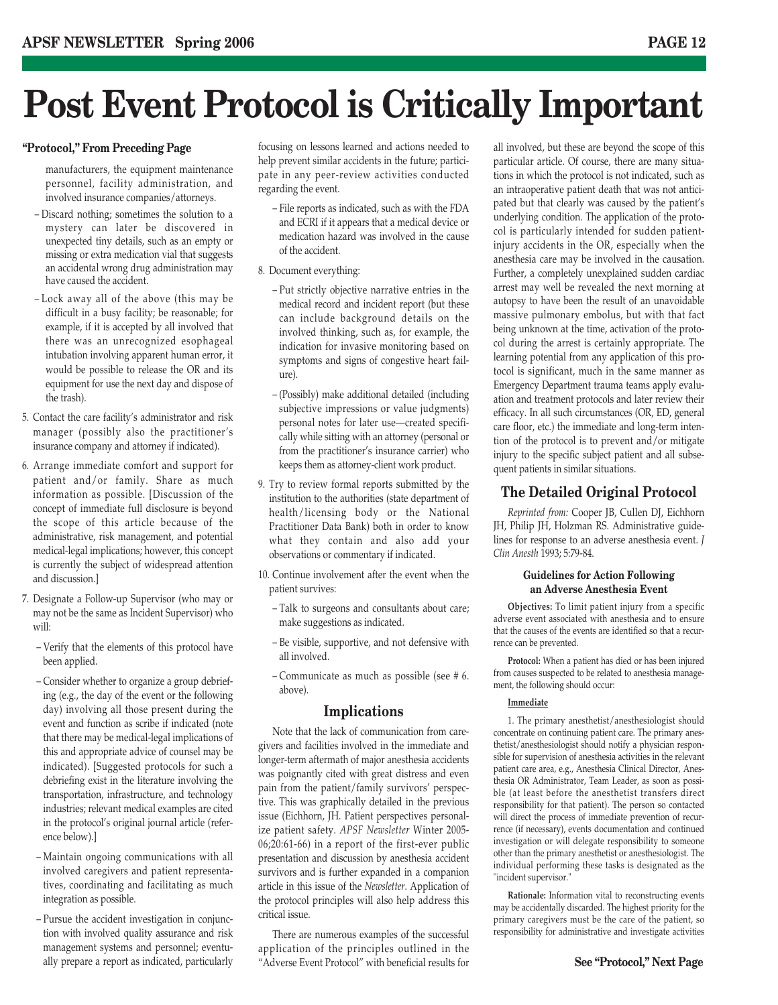## **Post Event Protocol is Critically Important**

#### **"Protocol," From Preceding Page**

manufacturers, the equipment maintenance personnel, facility administration, and involved insurance companies/attorneys.

- Discard nothing; sometimes the solution to a mystery can later be discovered in unexpected tiny details, such as an empty or missing or extra medication vial that suggests an accidental wrong drug administration may have caused the accident.
- Lock away all of the above (this may be difficult in a busy facility; be reasonable; for example, if it is accepted by all involved that there was an unrecognized esophageal intubation involving apparent human error, it would be possible to release the OR and its equipment for use the next day and dispose of the trash).
- 5. Contact the care facility's administrator and risk manager (possibly also the practitioner's insurance company and attorney if indicated).
- 6. Arrange immediate comfort and support for patient and/or family. Share as much information as possible. [Discussion of the concept of immediate full disclosure is beyond the scope of this article because of the administrative, risk management, and potential medical-legal implications; however, this concept is currently the subject of widespread attention and discussion.]
- 7. Designate a Follow-up Supervisor (who may or may not be the same as Incident Supervisor) who will:
	- Verify that the elements of this protocol have been applied.
	- Consider whether to organize a group debriefing (e.g., the day of the event or the following day) involving all those present during the event and function as scribe if indicated (note that there may be medical-legal implications of this and appropriate advice of counsel may be indicated). [Suggested protocols for such a debriefing exist in the literature involving the transportation, infrastructure, and technology industries; relevant medical examples are cited in the protocol's original journal article (reference below).]
	- Maintain ongoing communications with all involved caregivers and patient representatives, coordinating and facilitating as much integration as possible.
	- Pursue the accident investigation in conjunction with involved quality assurance and risk management systems and personnel; eventually prepare a report as indicated, particularly

focusing on lessons learned and actions needed to help prevent similar accidents in the future; participate in any peer-review activities conducted regarding the event.

- File reports as indicated, such as with the FDA and ECRI if it appears that a medical device or medication hazard was involved in the cause of the accident.
- 8. Document everything:
	- Put strictly objective narrative entries in the medical record and incident report (but these can include background details on the involved thinking, such as, for example, the indication for invasive monitoring based on symptoms and signs of congestive heart failure).
	- (Possibly) make additional detailed (including subjective impressions or value judgments) personal notes for later use—created specifically while sitting with an attorney (personal or from the practitioner's insurance carrier) who keeps them as attorney-client work product.
- 9. Try to review formal reports submitted by the institution to the authorities (state department of health/licensing body or the National Practitioner Data Bank) both in order to know what they contain and also add your observations or commentary if indicated.
- 10. Continue involvement after the event when the patient survives:
	- Talk to surgeons and consultants about care; make suggestions as indicated.
	- Be visible, supportive, and not defensive with all involved.
	- Communicate as much as possible (see # 6. above).

#### **Implications**

Note that the lack of communication from caregivers and facilities involved in the immediate and longer-term aftermath of major anesthesia accidents was poignantly cited with great distress and even pain from the patient/family survivors' perspective. This was graphically detailed in the previous issue (Eichhorn, JH. Patient perspectives personalize patient safety. *APSF Newsletter* Winter 2005- 06;20:61-66) in a report of the first-ever public presentation and discussion by anesthesia accident survivors and is further expanded in a companion article in this issue of the *Newsletter*. Application of the protocol principles will also help address this critical issue.

There are numerous examples of the successful application of the principles outlined in the "Adverse Event Protocol" with beneficial results for all involved, but these are beyond the scope of this particular article. Of course, there are many situations in which the protocol is not indicated, such as an intraoperative patient death that was not anticipated but that clearly was caused by the patient's underlying condition. The application of the protocol is particularly intended for sudden patientinjury accidents in the OR, especially when the anesthesia care may be involved in the causation. Further, a completely unexplained sudden cardiac arrest may well be revealed the next morning at autopsy to have been the result of an unavoidable massive pulmonary embolus, but with that fact being unknown at the time, activation of the protocol during the arrest is certainly appropriate. The learning potential from any application of this protocol is significant, much in the same manner as Emergency Department trauma teams apply evaluation and treatment protocols and later review their efficacy. In all such circumstances (OR, ED, general care floor, etc.) the immediate and long-term intention of the protocol is to prevent and/or mitigate injury to the specific subject patient and all subsequent patients in similar situations.

#### **The Detailed Original Protocol**

*Reprinted from:* Cooper JB, Cullen DJ, Eichhorn JH, Philip JH, Holzman RS. Administrative guidelines for response to an adverse anesthesia event. *J Clin Anesth* 1993; 5:79-84.

#### **Guidelines for Action Following an Adverse Anesthesia Event**

**Objectives:** To limit patient injury from a specific adverse event associated with anesthesia and to ensure that the causes of the events are identified so that a recurrence can be prevented.

**Protocol:** When a patient has died or has been injured from causes suspected to be related to anesthesia management, the following should occur:

#### **Immediate**

1. The primary anesthetist/anesthesiologist should concentrate on continuing patient care. The primary anesthetist/anesthesiologist should notify a physician responsible for supervision of anesthesia activities in the relevant patient care area, e.g., Anesthesia Clinical Director, Anesthesia OR Administrator, Team Leader, as soon as possible (at least before the anesthetist transfers direct responsibility for that patient). The person so contacted will direct the process of immediate prevention of recurrence (if necessary), events documentation and continued investigation or will delegate responsibility to someone other than the primary anesthetist or anesthesiologist. The individual performing these tasks is designated as the "incident supervisor."

**Rationale:** Information vital to reconstructing events may be accidentally discarded. The highest priority for the primary caregivers must be the care of the patient, so responsibility for administrative and investigate activities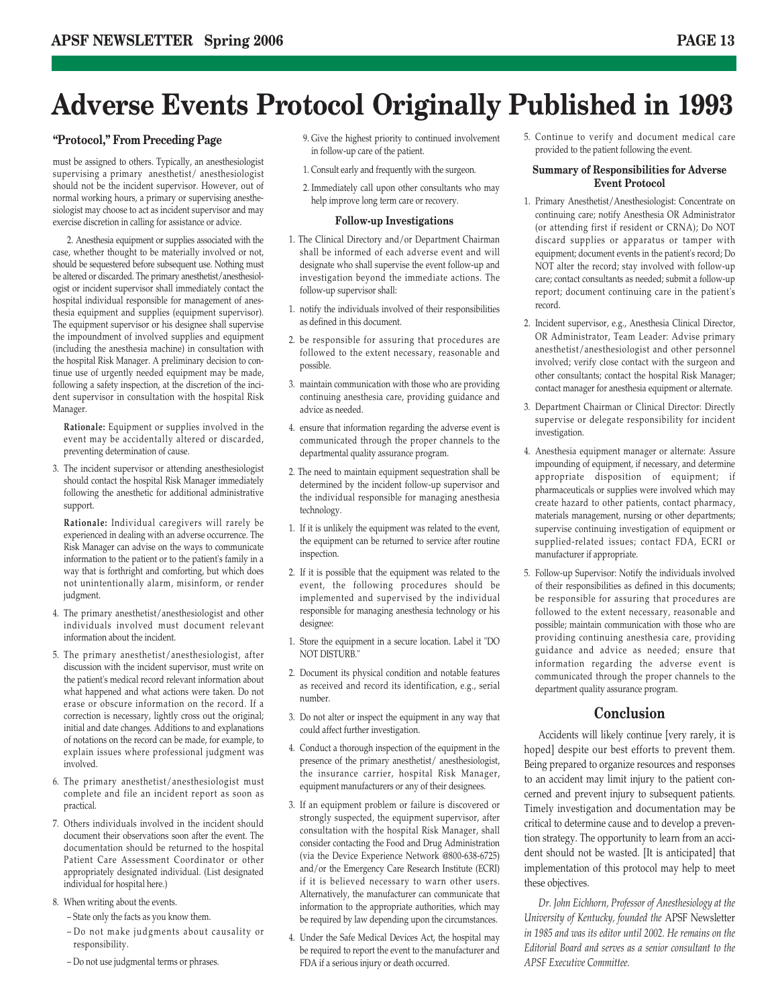### **Adverse Events Protocol Originally Published in 1993**

#### **"Protocol," From Preceding Page**

must be assigned to others. Typically, an anesthesiologist supervising a primary anesthetist/ anesthesiologist should not be the incident supervisor. However, out of normal working hours, a primary or supervising anesthesiologist may choose to act as incident supervisor and may exercise discretion in calling for assistance or advice.

2. Anesthesia equipment or supplies associated with the case, whether thought to be materially involved or not, should be sequestered before subsequent use. Nothing must be altered or discarded. The primary anesthetist/anesthesiologist or incident supervisor shall immediately contact the hospital individual responsible for management of anesthesia equipment and supplies (equipment supervisor). The equipment supervisor or his designee shall supervise the impoundment of involved supplies and equipment (including the anesthesia machine) in consultation with the hospital Risk Manager. A preliminary decision to continue use of urgently needed equipment may be made, following a safety inspection, at the discretion of the incident supervisor in consultation with the hospital Risk Manager.

**Rationale:** Equipment or supplies involved in the event may be accidentally altered or discarded, preventing determination of cause.

3. The incident supervisor or attending anesthesiologist should contact the hospital Risk Manager immediately following the anesthetic for additional administrative support.

**Rationale:** Individual caregivers will rarely be experienced in dealing with an adverse occurrence. The Risk Manager can advise on the ways to communicate information to the patient or to the patient's family in a way that is forthright and comforting, but which does not unintentionally alarm, misinform, or render judgment.

- 4. The primary anesthetist/anesthesiologist and other individuals involved must document relevant information about the incident.
- 5. The primary anesthetist/anesthesiologist, after discussion with the incident supervisor, must write on the patient's medical record relevant information about what happened and what actions were taken. Do not erase or obscure information on the record. If a correction is necessary, lightly cross out the original; initial and date changes. Additions to and explanations of notations on the record can be made, for example, to explain issues where professional judgment was involved.
- 6. The primary anesthetist/anesthesiologist must complete and file an incident report as soon as practical.
- 7. Others individuals involved in the incident should document their observations soon after the event. The documentation should be returned to the hospital Patient Care Assessment Coordinator or other appropriately designated individual. (List designated individual for hospital here.)
- 8. When writing about the events.
	- State only the facts as you know them.
	- Do not make judgments about causality or responsibility.
	- Do not use judgmental terms or phrases.
- 9. Give the highest priority to continued involvement in follow-up care of the patient.
- 1. Consult early and frequently with the surgeon.
- 2. Immediately call upon other consultants who may help improve long term care or recovery.

#### **Follow-up Investigations**

- 1. The Clinical Directory and/or Department Chairman shall be informed of each adverse event and will designate who shall supervise the event follow-up and investigation beyond the immediate actions. The follow-up supervisor shall:
- 1. notify the individuals involved of their responsibilities as defined in this document.
- 2. be responsible for assuring that procedures are followed to the extent necessary, reasonable and possible.
- 3. maintain communication with those who are providing continuing anesthesia care, providing guidance and advice as needed.
- 4. ensure that information regarding the adverse event is communicated through the proper channels to the departmental quality assurance program.
- 2. The need to maintain equipment sequestration shall be determined by the incident follow-up supervisor and the individual responsible for managing anesthesia technology.
- 1. If it is unlikely the equipment was related to the event, the equipment can be returned to service after routine inspection.
- 2. If it is possible that the equipment was related to the event, the following procedures should be implemented and supervised by the individual responsible for managing anesthesia technology or his designee:
- 1. Store the equipment in a secure location. Label it "DO NOT DISTURB."
- 2. Document its physical condition and notable features as received and record its identification, e.g., serial number.
- 3. Do not alter or inspect the equipment in any way that could affect further investigation.
- 4. Conduct a thorough inspection of the equipment in the presence of the primary anesthetist/ anesthesiologist, the insurance carrier, hospital Risk Manager, equipment manufacturers or any of their designees.
- 3. If an equipment problem or failure is discovered or strongly suspected, the equipment supervisor, after consultation with the hospital Risk Manager, shall consider contacting the Food and Drug Administration (via the Device Experience Network @800-638-6725) and/or the Emergency Care Research Institute (ECRI) if it is believed necessary to warn other users. Alternatively, the manufacturer can communicate that information to the appropriate authorities, which may be required by law depending upon the circumstances.
- 4. Under the Safe Medical Devices Act, the hospital may be required to report the event to the manufacturer and FDA if a serious injury or death occurred.

5. Continue to verify and document medical care provided to the patient following the event.

#### **Summary of Responsibilities for Adverse Event Protocol**

- 1. Primary Anesthetist/Anesthesiologist: Concentrate on continuing care; notify Anesthesia OR Administrator (or attending first if resident or CRNA); Do NOT discard supplies or apparatus or tamper with equipment; document events in the patient's record; Do NOT alter the record; stay involved with follow-up care; contact consultants as needed; submit a follow-up report; document continuing care in the patient's record.
- 2. Incident supervisor, e.g., Anesthesia Clinical Director, OR Administrator, Team Leader: Advise primary anesthetist/anesthesiologist and other personnel involved; verify close contact with the surgeon and other consultants; contact the hospital Risk Manager; contact manager for anesthesia equipment or alternate.
- 3. Department Chairman or Clinical Director: Directly supervise or delegate responsibility for incident investigation.
- 4. Anesthesia equipment manager or alternate: Assure impounding of equipment, if necessary, and determine appropriate disposition of equipment; if pharmaceuticals or supplies were involved which may create hazard to other patients, contact pharmacy, materials management, nursing or other departments; supervise continuing investigation of equipment or supplied-related issues; contact FDA, ECRI or manufacturer if appropriate.
- 5. Follow-up Supervisor: Notify the individuals involved of their responsibilities as defined in this documents; be responsible for assuring that procedures are followed to the extent necessary, reasonable and possible; maintain communication with those who are providing continuing anesthesia care, providing guidance and advice as needed; ensure that information regarding the adverse event is communicated through the proper channels to the department quality assurance program.

#### **Conclusion**

Accidents will likely continue [very rarely, it is hoped] despite our best efforts to prevent them. Being prepared to organize resources and responses to an accident may limit injury to the patient concerned and prevent injury to subsequent patients. Timely investigation and documentation may be critical to determine cause and to develop a prevention strategy. The opportunity to learn from an accident should not be wasted. [It is anticipated] that implementation of this protocol may help to meet these objectives.

*Dr. John Eichhorn, Professor of Anesthesiology at the University of Kentucky, founded the* APSF Newsletter *in 1985 and was its editor until 2002. He remains on the Editorial Board and serves as a senior consultant to the APSF Executive Committee.*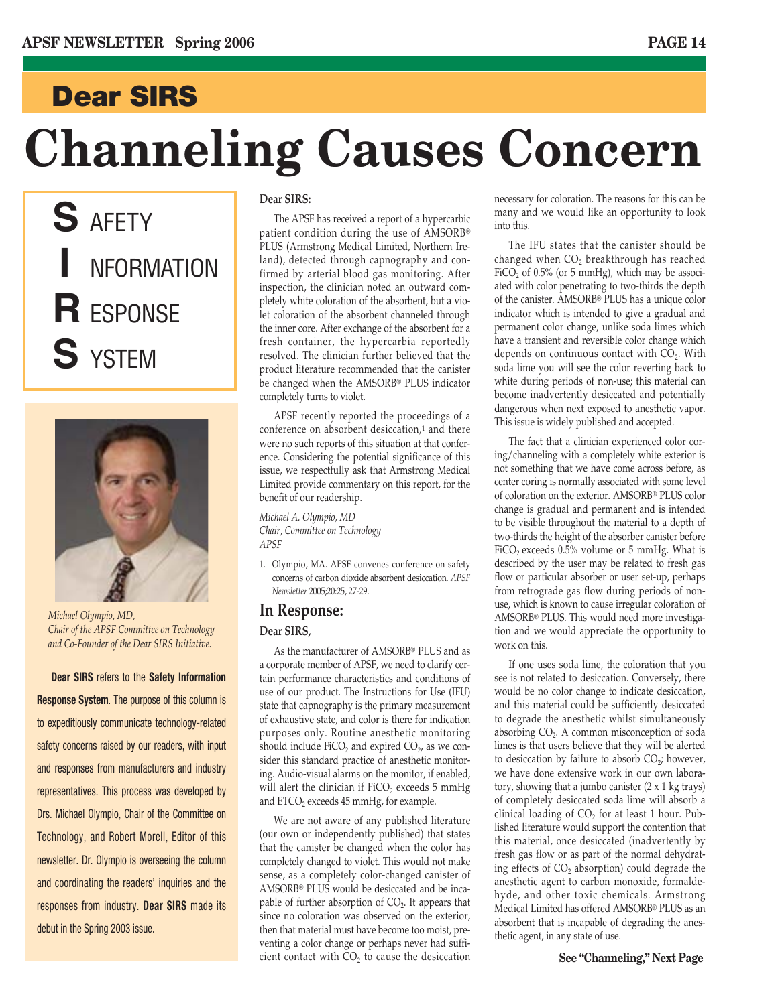### **Dear SIRS**

# **Channeling Causes Concern**

**S** AFETY **I** NFORMATION **R** ESPONSE **S** YSTEM



*Michael Olympio, MD, Chair of the APSF Committee on Technology and Co-Founder of the Dear SIRS Initiative.*

**Dear SIRS** refers to the **Safety Information Response System**. The purpose of this column is to expeditiously communicate technology-related safety concerns raised by our readers, with input and responses from manufacturers and industry representatives. This process was developed by Drs. Michael Olympio, Chair of the Committee on Technology, and Robert Morell, Editor of this newsletter. Dr. Olympio is overseeing the column and coordinating the readers' inquiries and the responses from industry. **Dear SIRS** made its debut in the Spring 2003 issue.

#### **Dear SIRS:**

The APSF has received a report of a hypercarbic patient condition during the use of AMSORB® PLUS (Armstrong Medical Limited, Northern Ireland), detected through capnography and confirmed by arterial blood gas monitoring. After inspection, the clinician noted an outward completely white coloration of the absorbent, but a violet coloration of the absorbent channeled through the inner core. After exchange of the absorbent for a fresh container, the hypercarbia reportedly resolved. The clinician further believed that the product literature recommended that the canister be changed when the AMSORB® PLUS indicator completely turns to violet.

APSF recently reported the proceedings of a conference on absorbent desiccation,1 and there were no such reports of this situation at that conference. Considering the potential significance of this issue, we respectfully ask that Armstrong Medical Limited provide commentary on this report, for the benefit of our readership.

*Michael A. Olympio, MD Chair, Committee on Technology APSF*

1. Olympio, MA. APSF convenes conference on safety concerns of carbon dioxide absorbent desiccation. *APSF Newsletter* 2005;20:25, 27-29.

#### **In Response:**

#### **Dear SIRS,**

As the manufacturer of AMSORB® PLUS and as a corporate member of APSF, we need to clarify certain performance characteristics and conditions of use of our product. The Instructions for Use (IFU) state that capnography is the primary measurement of exhaustive state, and color is there for indication purposes only. Routine anesthetic monitoring should include  $FiCO<sub>2</sub>$  and expired  $CO<sub>2</sub>$ , as we consider this standard practice of anesthetic monitoring. Audio-visual alarms on the monitor, if enabled, will alert the clinician if FiCO<sub>2</sub> exceeds 5 mmHg and  $ETCO<sub>2</sub>$  exceeds 45 mmHg, for example.

We are not aware of any published literature (our own or independently published) that states that the canister be changed when the color has completely changed to violet. This would not make sense, as a completely color-changed canister of AMSORB® PLUS would be desiccated and be incapable of further absorption of  $CO<sub>2</sub>$ . It appears that since no coloration was observed on the exterior, then that material must have become too moist, preventing a color change or perhaps never had sufficient contact with  $CO<sub>2</sub>$  to cause the desiccation necessary for coloration. The reasons for this can be many and we would like an opportunity to look into this.

The IFU states that the canister should be changed when  $CO<sub>2</sub>$  breakthrough has reached FiCO<sub>2</sub> of 0.5% (or 5 mmHg), which may be associated with color penetrating to two-thirds the depth of the canister. AMSORB® PLUS has a unique color indicator which is intended to give a gradual and permanent color change, unlike soda limes which have a transient and reversible color change which depends on continuous contact with  $CO<sub>2</sub>$ . With soda lime you will see the color reverting back to white during periods of non-use; this material can become inadvertently desiccated and potentially dangerous when next exposed to anesthetic vapor. This issue is widely published and accepted.

The fact that a clinician experienced color coring/channeling with a completely white exterior is not something that we have come across before, as center coring is normally associated with some level of coloration on the exterior. AMSORB® PLUS color change is gradual and permanent and is intended to be visible throughout the material to a depth of two-thirds the height of the absorber canister before FiCO<sub>2</sub> exceeds  $0.5\%$  volume or 5 mmHg. What is described by the user may be related to fresh gas flow or particular absorber or user set-up, perhaps from retrograde gas flow during periods of nonuse, which is known to cause irregular coloration of AMSORB® PLUS. This would need more investigation and we would appreciate the opportunity to work on this.

If one uses soda lime, the coloration that you see is not related to desiccation. Conversely, there would be no color change to indicate desiccation, and this material could be sufficiently desiccated to degrade the anesthetic whilst simultaneously absorbing CO<sub>2</sub>. A common misconception of soda limes is that users believe that they will be alerted to desiccation by failure to absorb  $CO<sub>2</sub>$ ; however, we have done extensive work in our own laboratory, showing that a jumbo canister  $(2 \times 1 \text{ kg}$  trays) of completely desiccated soda lime will absorb a clinical loading of  $CO<sub>2</sub>$  for at least 1 hour. Published literature would support the contention that this material, once desiccated (inadvertently by fresh gas flow or as part of the normal dehydrating effects of  $CO<sub>2</sub>$  absorption) could degrade the anesthetic agent to carbon monoxide, formaldehyde, and other toxic chemicals. Armstrong Medical Limited has offered AMSORB® PLUS as an absorbent that is incapable of degrading the anesthetic agent, in any state of use.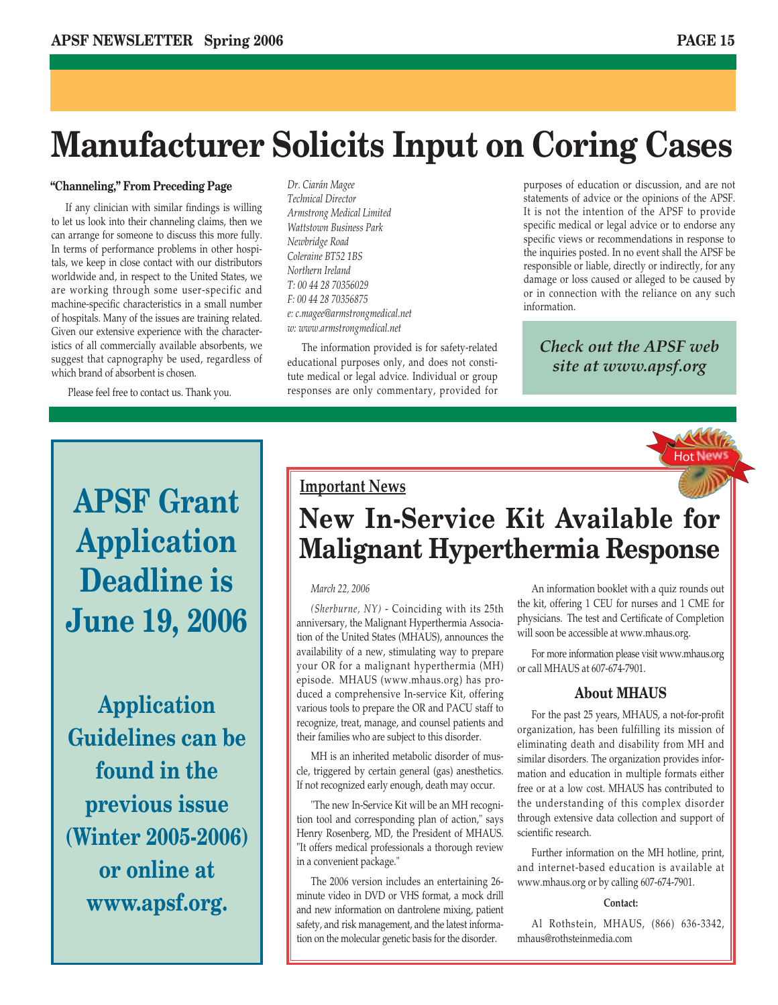## **Manufacturer Solicits Input on Coring Cases**

#### **"Channeling," From Preceding Page**

If any clinician with similar findings is willing to let us look into their channeling claims, then we can arrange for someone to discuss this more fully. In terms of performance problems in other hospitals, we keep in close contact with our distributors worldwide and, in respect to the United States, we are working through some user-specific and machine-specific characteristics in a small number of hospitals. Many of the issues are training related. Given our extensive experience with the characteristics of all commercially available absorbents, we suggest that capnography be used, regardless of which brand of absorbent is chosen.

Please feel free to contact us. Thank you.

*Dr. Ciarán Magee Technical Director Armstrong Medical Limited Wattstown Business Park Newbridge Road Coleraine BT52 1BS Northern Ireland T: 00 44 28 70356029 F: 00 44 28 70356875 e: c.magee@armstrongmedical.net w: www.armstrongmedical.net*

The information provided is for safety-related educational purposes only, and does not constitute medical or legal advice. Individual or group responses are only commentary, provided for

purposes of education or discussion, and are not statements of advice or the opinions of the APSF. It is not the intention of the APSF to provide specific medical or legal advice or to endorse any specific views or recommendations in response to the inquiries posted. In no event shall the APSF be responsible or liable, directly or indirectly, for any damage or loss caused or alleged to be caused by or in connection with the reliance on any such information.

### *Check out the APSF web site at www.apsf.org*



## **APSF Grant Application Deadline is June 19, 2006**

**Application Guidelines can be found in the previous issue (Winter 2005-2006) or online at www.apsf.org.**

**Important News**

### **New In-Service Kit Available for Malignant Hyperthermia Response**

#### *March 22, 2006*

*(Sherburne, NY)* - Coinciding with its 25th anniversary, the Malignant Hyperthermia Association of the United States (MHAUS), announces the availability of a new, stimulating way to prepare your OR for a malignant hyperthermia (MH) episode. MHAUS (www.mhaus.org) has produced a comprehensive In-service Kit, offering various tools to prepare the OR and PACU staff to recognize, treat, manage, and counsel patients and their families who are subject to this disorder.

MH is an inherited metabolic disorder of muscle, triggered by certain general (gas) anesthetics. If not recognized early enough, death may occur.

"The new In-Service Kit will be an MH recognition tool and corresponding plan of action," says Henry Rosenberg, MD, the President of MHAUS. "It offers medical professionals a thorough review in a convenient package."

The 2006 version includes an entertaining 26 minute video in DVD or VHS format, a mock drill and new information on dantrolene mixing, patient safety, and risk management, and the latest information on the molecular genetic basis for the disorder.

An information booklet with a quiz rounds out the kit, offering 1 CEU for nurses and 1 CME for physicians. The test and Certificate of Completion will soon be accessible at www.mhaus.org.

For more information please visit www.mhaus.org or call MHAUS at 607-674-7901.

#### **About MHAUS**

For the past 25 years, MHAUS, a not-for-profit organization, has been fulfilling its mission of eliminating death and disability from MH and similar disorders. The organization provides information and education in multiple formats either free or at a low cost. MHAUS has contributed to the understanding of this complex disorder through extensive data collection and support of scientific research.

Further information on the MH hotline, print, and internet-based education is available at www.mhaus.org or by calling 607-674-7901.

#### **Contact:**

Al Rothstein, MHAUS, (866) 636-3342, mhaus@rothsteinmedia.com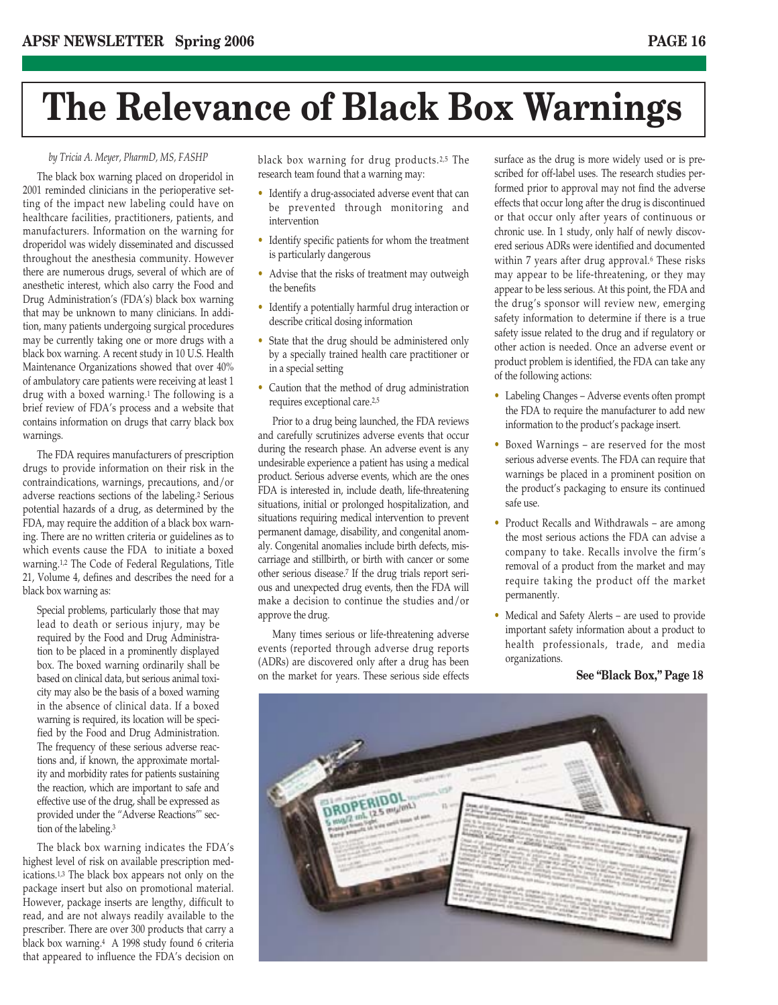## **The Relevance of Black Box Warnings**

#### *by Tricia A. Meyer, PharmD, MS, FASHP*

The black box warning placed on droperidol in 2001 reminded clinicians in the perioperative setting of the impact new labeling could have on healthcare facilities, practitioners, patients, and manufacturers. Information on the warning for droperidol was widely disseminated and discussed throughout the anesthesia community. However there are numerous drugs, several of which are of anesthetic interest, which also carry the Food and Drug Administration's (FDA's) black box warning that may be unknown to many clinicians. In addition, many patients undergoing surgical procedures may be currently taking one or more drugs with a black box warning. A recent study in 10 U.S. Health Maintenance Organizations showed that over 40% of ambulatory care patients were receiving at least 1 drug with a boxed warning.<sup>1</sup> The following is a brief review of FDA's process and a website that contains information on drugs that carry black box warnings.

The FDA requires manufacturers of prescription drugs to provide information on their risk in the contraindications, warnings, precautions, and/or adverse reactions sections of the labeling.2 Serious potential hazards of a drug, as determined by the FDA, may require the addition of a black box warning. There are no written criteria or guidelines as to which events cause the FDA to initiate a boxed warning.1,2 The Code of Federal Regulations, Title 21, Volume 4, defines and describes the need for a black box warning as:

Special problems, particularly those that may lead to death or serious injury, may be required by the Food and Drug Administration to be placed in a prominently displayed box. The boxed warning ordinarily shall be based on clinical data, but serious animal toxicity may also be the basis of a boxed warning in the absence of clinical data. If a boxed warning is required, its location will be specified by the Food and Drug Administration. The frequency of these serious adverse reactions and, if known, the approximate mortality and morbidity rates for patients sustaining the reaction, which are important to safe and effective use of the drug, shall be expressed as provided under the "Adverse Reactions"' section of the labeling.3

The black box warning indicates the FDA's highest level of risk on available prescription medications.1,3 The black box appears not only on the package insert but also on promotional material. However, package inserts are lengthy, difficult to read, and are not always readily available to the prescriber. There are over 300 products that carry a black box warning.4 A 1998 study found 6 criteria that appeared to influence the FDA's decision on

black box warning for drug products.2,5 The research team found that a warning may:

- Identify a drug-associated adverse event that can be prevented through monitoring and intervention
- Identify specific patients for whom the treatment is particularly dangerous
- Advise that the risks of treatment may outweigh the benefits
- Identify a potentially harmful drug interaction or describe critical dosing information
- State that the drug should be administered only by a specially trained health care practitioner or in a special setting
- Caution that the method of drug administration requires exceptional care.2,5

Prior to a drug being launched, the FDA reviews and carefully scrutinizes adverse events that occur during the research phase. An adverse event is any undesirable experience a patient has using a medical product. Serious adverse events, which are the ones FDA is interested in, include death, life-threatening situations, initial or prolonged hospitalization, and situations requiring medical intervention to prevent permanent damage, disability, and congenital anomaly. Congenital anomalies include birth defects, miscarriage and stillbirth, or birth with cancer or some other serious disease.7 If the drug trials report serious and unexpected drug events, then the FDA will make a decision to continue the studies and/or approve the drug.

Many times serious or life-threatening adverse events (reported through adverse drug reports (ADRs) are discovered only after a drug has been on the market for years. These serious side effects

surface as the drug is more widely used or is prescribed for off-label uses. The research studies performed prior to approval may not find the adverse effects that occur long after the drug is discontinued or that occur only after years of continuous or chronic use. In 1 study, only half of newly discovered serious ADRs were identified and documented within 7 years after drug approval.<sup>6</sup> These risks may appear to be life-threatening, or they may appear to be less serious. At this point, the FDA and the drug's sponsor will review new, emerging safety information to determine if there is a true safety issue related to the drug and if regulatory or other action is needed. Once an adverse event or product problem is identified, the FDA can take any of the following actions:

- Labeling Changes Adverse events often prompt the FDA to require the manufacturer to add new information to the product's package insert.
- Boxed Warnings are reserved for the most serious adverse events. The FDA can require that warnings be placed in a prominent position on the product's packaging to ensure its continued safe use.
- Product Recalls and Withdrawals are among the most serious actions the FDA can advise a company to take. Recalls involve the firm's removal of a product from the market and may require taking the product off the market permanently.
- Medical and Safety Alerts are used to provide important safety information about a product to health professionals, trade, and media organizations.

#### **See "Black Box," Page 18**

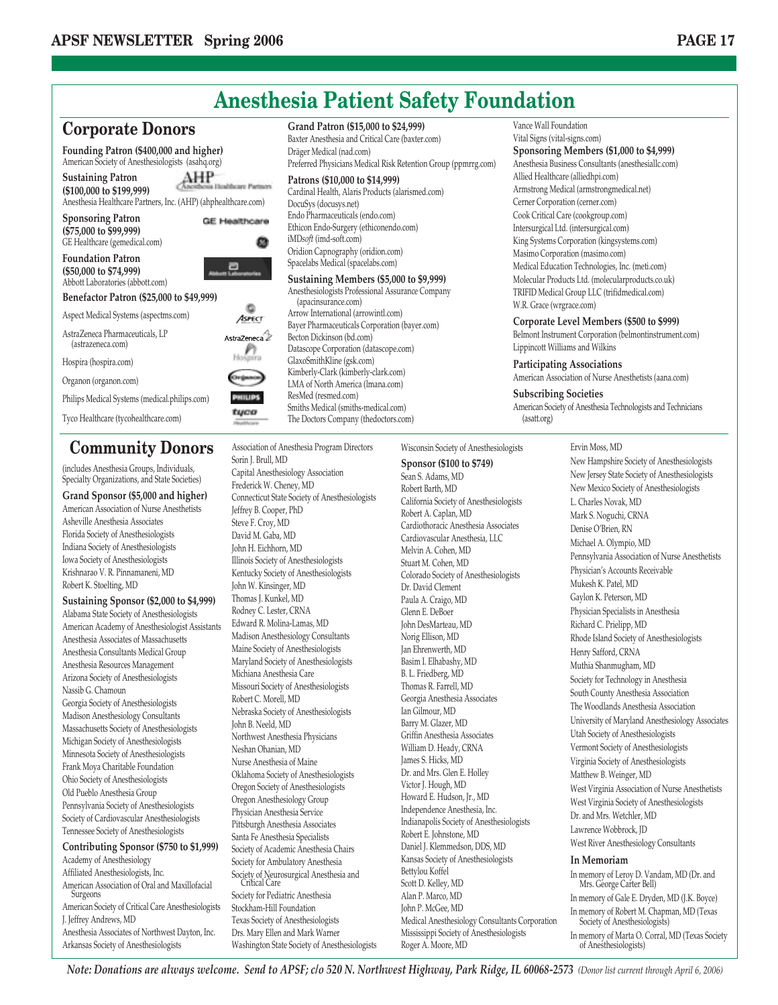

### **Community Donors**

(includes Anesthesia Groups, Individuals, Specialty Organizations, and State Societies)

**Grand Sponsor (\$5,000 and higher)** American Association of Nurse Anesthetists Asheville Anesthesia Associates Florida Society of Anesthesiologists Indiana Society of Anesthesiologists Iowa Society of Anesthesiologists Krishnarao V. R. Pinnamaneni, MD Robert K. Stoelting, MD

**Sustaining Sponsor (\$2,000 to \$4,999)**

Alabama State Society of Anesthesiologists American Academy of Anesthesiologist Assistants Anesthesia Associates of Massachusetts Anesthesia Consultants Medical Group Anesthesia Resources Management Arizona Society of Anesthesiologists Nassib G. Chamoun Georgia Society of Anesthesiologists Madison Anesthesiology Consultants Massachusetts Society of Anesthesiologists Michigan Society of Anesthesiologists Minnesota Society of Anesthesiologists Frank Moya Charitable Foundation Ohio Society of Anesthesiologists Old Pueblo Anesthesia Group Pennsylvania Society of Anesthesiologists Society of Cardiovascular Anesthesiologists Tennessee Society of Anesthesiologists **Contributing Sponsor (\$750 to \$1,999)** Academy of Anesthesiology

Affiliated Anesthesiologists, Inc. American Association of Oral and Maxillofacial **Surgeons** American Society of Critical Care Anesthesiologists J. Jeffrey Andrews, MD Anesthesia Associates of Northwest Dayton, Inc. Arkansas Society of Anesthesiologists

Association of Anesthesia Program Directors Sorin J. Brull, MD Capital Anesthesiology Association Frederick W. Cheney, MD Connecticut State Society of Anesthesiologists Jeffrey B. Cooper, PhD Steve F. Croy, MD David M. Gaba, MD John H. Eichhorn, MD Illinois Society of Anesthesiologists Kentucky Society of Anesthesiologists John W. Kinsinger, MD Thomas J. Kunkel, MD Rodney C. Lester, CRNA Edward R. Molina-Lamas, MD Madison Anesthesiology Consultants Maine Society of Anesthesiologists Maryland Society of Anesthesiologists Michiana Anesthesia Care Missouri Society of Anesthesiologists Robert C. Morell, MD Nebraska Society of Anesthesiologists John B. Neeld, MD Northwest Anesthesia Physicians Neshan Ohanian, MD Nurse Anesthesia of Maine Oklahoma Society of Anesthesiologists Oregon Society of Anesthesiologists Oregon Anesthesiology Group Physician Anesthesia Service Pittsburgh Anesthesia Associates Santa Fe Anesthesia Specialists Society of Academic Anesthesia Chairs Society for Ambulatory Anesthesia Society of Neurosurgical Anesthesia and Critical Care Society for Pediatric Anesthesia Stockham-Hill Foundation Texas Society of Anesthesiologists Drs. Mary Ellen and Mark Warner

Washington State Society of Anesthesiologists Wisconsin Society of Anesthesiologists Sean S. Adams, MD Robert Barth, MD Robert A. Caplan, MD Melvin A. Cohen, MD Stuart M. Cohen, MD Dr. David Clement Paula A. Craigo, MD Glenn E. DeBoer John DesMarteau, MD Norig Ellison, MD Jan Ehrenwerth, MD Basim I. Elhabashy, MD B. L. Friedberg, MD Thomas R. Farrell, MD Ian Gilmour, MD Barry M. Glazer, MD William D. Heady, CRNA James S. Hicks, MD Victor J. Hough, MD Robert E. Johnstone, MD Bettylou Koffel Scott D. Kelley, MD Alan P. Marco, MD John P. McGee, MD

**Sponsor (\$100 to \$749)**

California Society of Anesthesiologists Cardiothoracic Anesthesia Associates Cardiovascular Anesthesia, LLC Colorado Society of Anesthesiologists Georgia Anesthesia Associates Griffin Anesthesia Associates Dr. and Mrs. Glen E. Holley Howard E. Hudson, Jr., MD Independence Anesthesia, Inc. Indianapolis Society of Anesthesiologists Daniel J. Klemmedson, DDS, MD Kansas Society of Anesthesiologists Medical Anesthesiology Consultants Corporation Mississippi Society of Anesthesiologists Roger A. Moore, MD

Ervin Moss, MD New Hampshire Society of Anesthesiologists New Jersey State Society of Anesthesiologists New Mexico Society of Anesthesiologists L. Charles Novak, MD Mark S. Noguchi, CRNA Denise O'Brien, RN Michael A. Olympio, MD Pennsylvania Association of Nurse Anesthetists Physician's Accounts Receivable Mukesh K. Patel, MD Gaylon K. Peterson, MD Physician Specialists in Anesthesia Richard C. Prielipp, MD Rhode Island Society of Anesthesiologists Henry Safford, CRNA Muthia Shanmugham, MD Society for Technology in Anesthesia South County Anesthesia Association The Woodlands Anesthesia Association University of Maryland Anesthesiology Associates Utah Society of Anesthesiologists Vermont Society of Anesthesiologists Virginia Society of Anesthesiologists Matthew B. Weinger, MD West Virginia Association of Nurse Anesthetists West Virginia Society of Anesthesiologists Dr. and Mrs. Wetchler, MD Lawrence Wobbrock, JD West River Anesthesiology Consultants **In Memoriam** In memory of Leroy D. Vandam, MD (Dr. and

Mrs. George Carter Bell) In memory of Gale E. Dryden, MD (J.K. Boyce) In memory of Robert M. Chapman, MD (Texas Society of Anesthesiologists) In memory of Marta O. Corral, MD (Texas Society of Anesthesiologists)

*Note: Donations are always welcome. Send to APSF; c/o 520 N. Northwest Highway, Park Ridge, IL 60068-2573 (Donor list current through April 6, 2006)*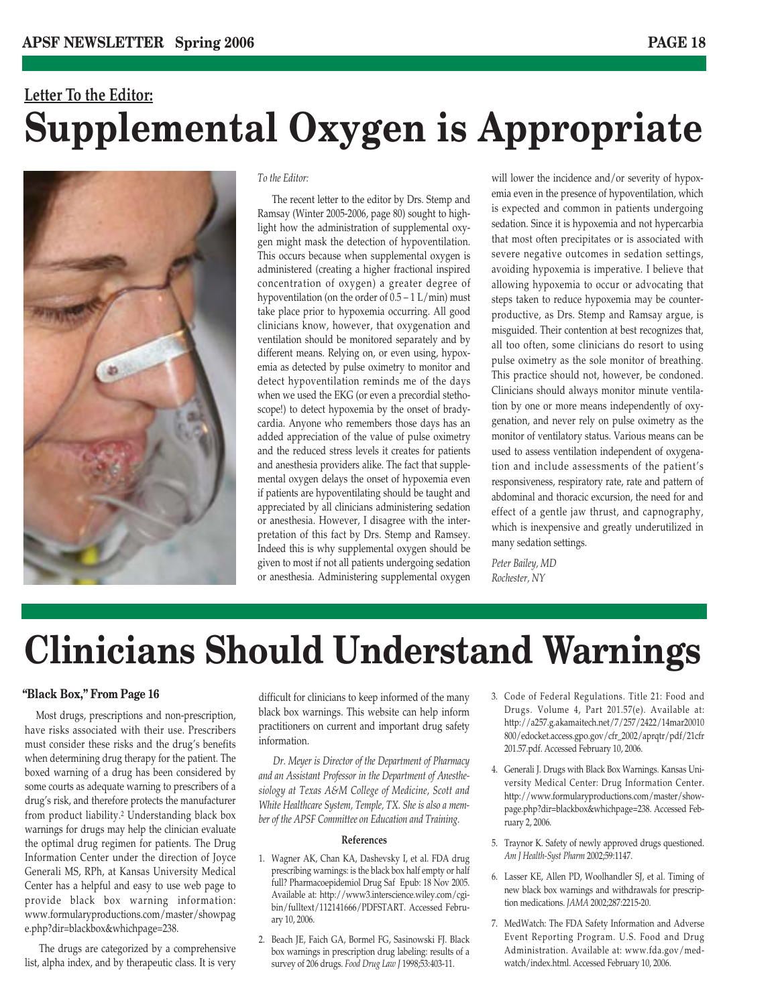### **Letter To the Editor: Supplemental Oxygen is Appropriate**



*To the Editor:*

The recent letter to the editor by Drs. Stemp and Ramsay (Winter 2005-2006, page 80) sought to highlight how the administration of supplemental oxygen might mask the detection of hypoventilation. This occurs because when supplemental oxygen is administered (creating a higher fractional inspired concentration of oxygen) a greater degree of hypoventilation (on the order of  $0.5 - 1$  L/min) must take place prior to hypoxemia occurring. All good clinicians know, however, that oxygenation and ventilation should be monitored separately and by different means. Relying on, or even using, hypoxemia as detected by pulse oximetry to monitor and detect hypoventilation reminds me of the days when we used the EKG (or even a precordial stethoscope!) to detect hypoxemia by the onset of bradycardia. Anyone who remembers those days has an added appreciation of the value of pulse oximetry and the reduced stress levels it creates for patients and anesthesia providers alike. The fact that supplemental oxygen delays the onset of hypoxemia even if patients are hypoventilating should be taught and appreciated by all clinicians administering sedation or anesthesia. However, I disagree with the interpretation of this fact by Drs. Stemp and Ramsey. Indeed this is why supplemental oxygen should be given to most if not all patients undergoing sedation or anesthesia. Administering supplemental oxygen

will lower the incidence and/or severity of hypoxemia even in the presence of hypoventilation, which is expected and common in patients undergoing sedation. Since it is hypoxemia and not hypercarbia that most often precipitates or is associated with severe negative outcomes in sedation settings, avoiding hypoxemia is imperative. I believe that allowing hypoxemia to occur or advocating that steps taken to reduce hypoxemia may be counterproductive, as Drs. Stemp and Ramsay argue, is misguided. Their contention at best recognizes that, all too often, some clinicians do resort to using pulse oximetry as the sole monitor of breathing. This practice should not, however, be condoned. Clinicians should always monitor minute ventilation by one or more means independently of oxygenation, and never rely on pulse oximetry as the monitor of ventilatory status. Various means can be used to assess ventilation independent of oxygenation and include assessments of the patient's responsiveness, respiratory rate, rate and pattern of abdominal and thoracic excursion, the need for and effect of a gentle jaw thrust, and capnography, which is inexpensive and greatly underutilized in many sedation settings.

*Peter Bailey, MD Rochester, NY*

## **Clinicians Should Understand Warnings**

#### **"Black Box," From Page 16**

Most drugs, prescriptions and non-prescription, have risks associated with their use. Prescribers must consider these risks and the drug's benefits when determining drug therapy for the patient. The boxed warning of a drug has been considered by some courts as adequate warning to prescribers of a drug's risk, and therefore protects the manufacturer from product liability.2 Understanding black box warnings for drugs may help the clinician evaluate the optimal drug regimen for patients. The Drug Information Center under the direction of Joyce Generali MS, RPh, at Kansas University Medical Center has a helpful and easy to use web page to provide black box warning information: www.formularyproductions.com/master/showpag e.php?dir=blackbox&whichpage=238.

The drugs are categorized by a comprehensive list, alpha index, and by therapeutic class. It is very

difficult for clinicians to keep informed of the many black box warnings. This website can help inform practitioners on current and important drug safety information.

*Dr. Meyer is Director of the Department of Pharmacy and an Assistant Professor in the Department of Anesthesiology at Texas A&M College of Medicine, Scott and White Healthcare System, Temple, TX. She is also a member of the APSF Committee on Education and Training.*

#### **References**

- 1. Wagner AK, Chan KA, Dashevsky I, et al. FDA drug prescribing warnings: is the black box half empty or half full? Pharmacoepidemiol Drug Saf Epub: 18 Nov 2005. Available at: http://www3.interscience.wiley.com/cgibin/fulltext/112141666/PDFSTART. Accessed February 10, 2006.
- 2. Beach JE, Faich GA, Bormel FG, Sasinowski FJ. Black box warnings in prescription drug labeling: results of a survey of 206 drugs. *Food Drug Law J* 1998;53:403-11.
- 3. Code of Federal Regulations. Title 21: Food and Drugs. Volume 4, Part 201.57(e). Available at: http://a257.g.akamaitech.net/7/257/2422/14mar20010 800/edocket.access.gpo.gov/cfr\_2002/aprqtr/pdf/21cfr 201.57.pdf. Accessed February 10, 2006.
- 4. Generali J. Drugs with Black Box Warnings. Kansas University Medical Center: Drug Information Center. http://www.formularyproductions.com/master/showpage.php?dir=blackbox&whichpage=238. Accessed February 2, 2006.
- 5. Traynor K. Safety of newly approved drugs questioned. *Am J Health-Syst Pharm* 2002;59:1147.
- 6. Lasser KE, Allen PD, Woolhandler SJ, et al. Timing of new black box warnings and withdrawals for prescription medications. *JAMA* 2002;287:2215-20.
- 7. MedWatch: The FDA Safety Information and Adverse Event Reporting Program. U.S. Food and Drug Administration. Available at: www.fda.gov/medwatch/index.html. Accessed February 10, 2006.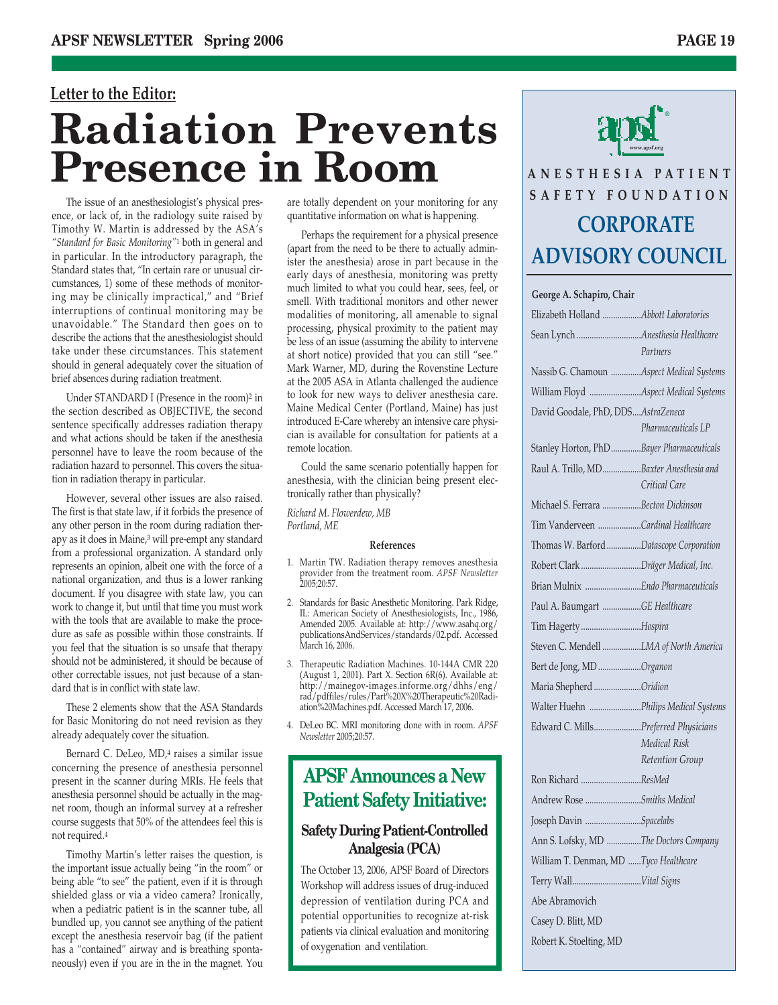### **Letter to the Editor: Radiation Prevents Presence in Room**

The issue of an anesthesiologist's physical presence, or lack of, in the radiology suite raised by Timothy W. Martin is addressed by the ASA's *"Standard for Basic Monitoring"*<sup>1</sup> both in general and in particular. In the introductory paragraph, the Standard states that, "In certain rare or unusual circumstances, 1) some of these methods of monitoring may be clinically impractical," and "Brief interruptions of continual monitoring may be unavoidable." The Standard then goes on to describe the actions that the anesthesiologist should take under these circumstances. This statement should in general adequately cover the situation of brief absences during radiation treatment.

Under STANDARD I (Presence in the room)<sup>2</sup> in the section described as OBJECTIVE, the second sentence specifically addresses radiation therapy and what actions should be taken if the anesthesia personnel have to leave the room because of the radiation hazard to personnel. This covers the situation in radiation therapy in particular.

However, several other issues are also raised. The first is that state law, if it forbids the presence of any other person in the room during radiation therapy as it does in Maine,3 will pre-empt any standard from a professional organization. A standard only represents an opinion, albeit one with the force of a national organization, and thus is a lower ranking document. If you disagree with state law, you can work to change it, but until that time you must work with the tools that are available to make the procedure as safe as possible within those constraints. If you feel that the situation is so unsafe that therapy should not be administered, it should be because of other correctable issues, not just because of a standard that is in conflict with state law.

These 2 elements show that the ASA Standards for Basic Monitoring do not need revision as they already adequately cover the situation.

Bernard C. DeLeo, MD,4 raises a similar issue concerning the presence of anesthesia personnel present in the scanner during MRIs. He feels that anesthesia personnel should be actually in the magnet room, though an informal survey at a refresher course suggests that 50% of the attendees feel this is not required.4

Timothy Martin's letter raises the question, is the important issue actually being "in the room" or being able "to see" the patient, even if it is through shielded glass or via a video camera? Ironically, when a pediatric patient is in the scanner tube, all bundled up, you cannot see anything of the patient except the anesthesia reservoir bag (if the patient has a "contained" airway and is breathing spontaneously) even if you are in the in the magnet. You are totally dependent on your monitoring for any quantitative information on what is happening.

Perhaps the requirement for a physical presence (apart from the need to be there to actually administer the anesthesia) arose in part because in the early days of anesthesia, monitoring was pretty much limited to what you could hear, sees, feel, or smell. With traditional monitors and other newer modalities of monitoring, all amenable to signal processing, physical proximity to the patient may be less of an issue (assuming the ability to intervene at short notice) provided that you can still "see." Mark Warner, MD, during the Rovenstine Lecture at the 2005 ASA in Atlanta challenged the audience to look for new ways to deliver anesthesia care. Maine Medical Center (Portland, Maine) has just introduced E-Care whereby an intensive care physician is available for consultation for patients at a remote location.

Could the same scenario potentially happen for anesthesia, with the clinician being present electronically rather than physically?

*Richard M. Flowerdew, MB Portland, ME* 

#### **References**

- 1. Martin TW. Radiation therapy removes anesthesia provider from the treatment room. *APSF Newsletter* 2005;20:57.
- 2. Standards for Basic Anesthetic Monitoring. Park Ridge, IL: American Society of Anesthesiologists, Inc., 1986, Amended 2005. Available at: http://www.asahq.org/ publicationsAndServices/standards/02.pdf. Accessed March 16, 2006.
- 3. Therapeutic Radiation Machines. 10-144A CMR 220 (August 1, 2001). Part X. Section 6R(6). Available at: http://mainegov-images.informe.org/dhhs/eng/ rad/pdffiles/rules/Part%20X%20Therapeutic%20Radiation%20Machines.pdf. Accessed March 17, 2006.
- 4. DeLeo BC. MRI monitoring done with in room. *APSF Newsletter* 2005;20:57.

### **APSF Announces a New Patient Safety Initiative:**

#### **Safety During Patient-Controlled Analgesia (PCA)**

The October 13, 2006, APSF Board of Directors Workshop will address issues of drug-induced depression of ventilation during PCA and potential opportunities to recognize at-risk patients via clinical evaluation and monitoring of oxygenation and ventilation.



### **ANESTHESIA PATIENT SAFETY FOUNDATION CORPORATE ADVISORY COUNCIL**

#### **George A. Schapiro, Chair**

| Elizabeth Holland Abbott Laboratories     |                     |
|-------------------------------------------|---------------------|
|                                           | Partners            |
| Nassib G. Chamoun Aspect Medical Systems  |                     |
| William Floyd Aspect Medical Systems      |                     |
| David Goodale, PhD, DDSAstraZeneca        |                     |
|                                           | Pharmaceuticals LP  |
| Stanley Horton, PhD Bayer Pharmaceuticals |                     |
| Raul A. Trillo, MDBaxter Anesthesia and   |                     |
|                                           | Critical Care       |
| Michael S. Ferrara Becton Dickinson       |                     |
| Tim Vanderveen Cardinal Healthcare        |                     |
| Thomas W. Barford Datascope Corporation   |                     |
| Robert Clark Dräger Medical, Inc.         |                     |
| Brian Mulnix  Endo Pharmaceuticals        |                     |
| Paul A. Baumgart GE Healthcare            |                     |
| Tim Hagerty Hospira                       |                     |
| Steven C. Mendell LMA of North America    |                     |
| Bert de Jong, MD Organon                  |                     |
| Maria Shepherd Oridion                    |                     |
| Walter Huehn Philips Medical Systems      |                     |
| Edward C. MillsPreferred Physicians       |                     |
|                                           | <b>Medical Risk</b> |
|                                           | Retention Group     |
| Ron Richard ResMed                        |                     |
| Andrew Rose Smiths Medical                |                     |
| Joseph Davin Spacelabs                    |                     |
| Ann S. Lofsky, MD The Doctors Company     |                     |
| William T. Denman, MD Tyco Healthcare     |                     |
|                                           |                     |
| Abe Abramovich                            |                     |
| Casey D. Blitt, MD                        |                     |
| Robert K. Stoelting, MD                   |                     |
|                                           |                     |